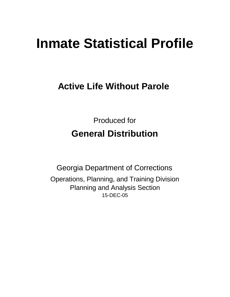# **Inmate Statistical Profile**

## **Active Life Without Parole**

Produced for **General Distribution**

15-DEC-05 Georgia Department of Corrections Operations, Planning, and Training Division Planning and Analysis Section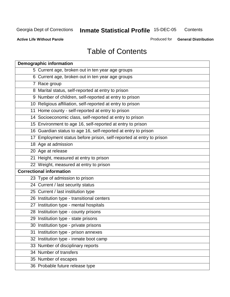**Contents** 

**Active Life Without Parole** 

Produced for **General Distribution**

## Table of Contents

| <b>Demographic information</b>                                       |
|----------------------------------------------------------------------|
| 5 Current age, broken out in ten year age groups                     |
| 6 Current age, broken out in ten year age groups                     |
| 7 Race group                                                         |
| 8 Marital status, self-reported at entry to prison                   |
| 9 Number of children, self-reported at entry to prison               |
| 10 Religious affiliation, self-reported at entry to prison           |
| 11 Home county - self-reported at entry to prison                    |
| 14 Socioeconomic class, self-reported at entry to prison             |
| 15 Environment to age 16, self-reported at entry to prison           |
| 16 Guardian status to age 16, self-reported at entry to prison       |
| 17 Employment status before prison, self-reported at entry to prison |
| 18 Age at admission                                                  |
| 20 Age at release                                                    |
| 21 Height, measured at entry to prison                               |
| 22 Weight, measured at entry to prison                               |
| <b>Correctional information</b>                                      |
| 23 Type of admission to prison                                       |
| 24 Current / last security status                                    |
| 25 Current / last institution type                                   |
| 26 Institution type - transitional centers                           |
| 27 Institution type - mental hospitals                               |
| 28 Institution type - county prisons                                 |
| 29 Institution type - state prisons                                  |
| 30 Institution type - private prisons                                |
| 31 Institution type - prison annexes                                 |
| 32 Institution type - inmate boot camp                               |
| 33 Number of disciplinary reports                                    |
| 34 Number of transfers                                               |
| 35 Number of escapes                                                 |
| 36 Probable future release type                                      |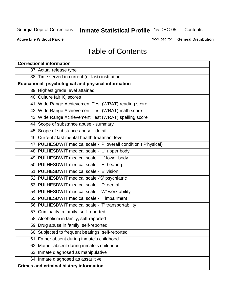**Contents** 

**Active Life Without Parole** 

Produced for **General Distribution**

## Table of Contents

| <b>Correctional information</b>                                  |
|------------------------------------------------------------------|
| 37 Actual release type                                           |
| 38 Time served in current (or last) institution                  |
| Educational, psychological and physical information              |
| 39 Highest grade level attained                                  |
| 40 Culture fair IQ scores                                        |
| 41 Wide Range Achievement Test (WRAT) reading score              |
| 42 Wide Range Achievement Test (WRAT) math score                 |
| 43 Wide Range Achievement Test (WRAT) spelling score             |
| 44 Scope of substance abuse - summary                            |
| 45 Scope of substance abuse - detail                             |
| 46 Current / last mental health treatment level                  |
| 47 PULHESDWIT medical scale - 'P' overall condition ('P'hysical) |
| 48 PULHESDWIT medical scale - 'U' upper body                     |
| 49 PULHESDWIT medical scale - 'L' lower body                     |
| 50 PULHESDWIT medical scale - 'H' hearing                        |
| 51 PULHESDWIT medical scale - 'E' vision                         |
| 52 PULHESDWIT medical scale -'S' psychiatric                     |
| 53 PULHESDWIT medical scale - 'D' dental                         |
| 54 PULHESDWIT medical scale - 'W' work ability                   |
| 55 PULHESDWIT medical scale - 'I' impairment                     |
| 56 PULHESDWIT medical scale - 'T' transportability               |
| 57 Criminality in family, self-reported                          |
| 58 Alcoholism in family, self-reported                           |
| 59 Drug abuse in family, self-reported                           |
| 60 Subjected to frequent beatings, self-reported                 |
| Father absent during inmate's childhood<br>61                    |
| 62 Mother absent during inmate's childhood                       |
| 63 Inmate diagnosed as manipulative                              |
| 64 Inmate diagnosed as assaultive                                |
| <b>Crimes and criminal history information</b>                   |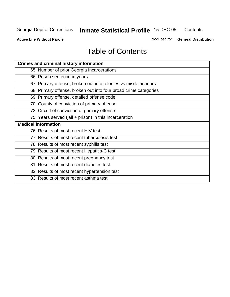**Contents** 

**Active Life Without Parole** 

Produced for **General Distribution**

## Table of Contents

| <b>Crimes and criminal history information</b>                  |
|-----------------------------------------------------------------|
| 65 Number of prior Georgia incarcerations                       |
| 66 Prison sentence in years                                     |
| 67 Primary offense, broken out into felonies vs misdemeanors    |
| 68 Primary offense, broken out into four broad crime categories |
| 69 Primary offense, detailed offense code                       |
| 70 County of conviction of primary offense                      |
| 73 Circuit of conviction of primary offense                     |
| 75 Years served (jail + prison) in this incarceration           |
| <b>Medical information</b>                                      |
|                                                                 |
| 76 Results of most recent HIV test                              |
| 77 Results of most recent tuberculosis test                     |
| 78 Results of most recent syphilis test                         |
| 79 Results of most recent Hepatitis-C test                      |
| 80 Results of most recent pregnancy test                        |
| 81 Results of most recent diabetes test                         |
| 82 Results of most recent hypertension test                     |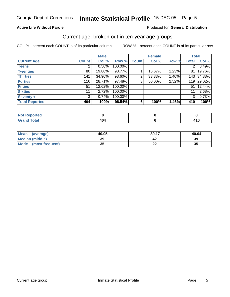#### **Active Life Without Parole**

#### Produced for **General Distribution**

#### Current age, broken out in ten-year age groups

|                       |              | <b>Male</b> |         |              | <b>Female</b> |       | <b>Total</b>     |            |
|-----------------------|--------------|-------------|---------|--------------|---------------|-------|------------------|------------|
| <b>Current Age</b>    | <b>Count</b> | Col %       | Row %   | <b>Count</b> | Col %         | Row % | <b>Total</b>     | Col %      |
| <b>Teens</b>          |              | 0.50%       | 100.00% |              |               |       | 2                | 0.49%      |
| <b>Twenties</b>       | 80           | 19.80%      | 98.77%  |              | 16.67%        | 1.23% | 81               | 19.76%     |
| <b>Thirties</b>       | 141          | 34.90%      | 98.60%  | 2            | 33.33%        | 1.40% |                  | 143 34.88% |
| <b>Forties</b>        | 116          | 28.71%      | 97.48%  | 3            | 50.00%        | 2.52% | 119 <sup>1</sup> | 29.02%     |
| <b>Fifties</b>        | 51           | 12.62%      | 100.00% |              |               |       | 51               | 12.44%     |
| <b>Sixties</b>        | 11           | 2.72%       | 100.00% |              |               |       | 11               | 2.68%      |
| <b>Seventy +</b>      | 3            | 0.74%       | 100.00% |              |               |       | 3 <sup>1</sup>   | 0.73%      |
| <b>Total Reported</b> | 404          | 100%        | 98.54%  | 6            | 100%          | 1.46% | 410              | 100%       |

| <b>Not</b><br><b>Contact Contact Inc.</b><br>rtea<br>. <b>.</b> |     |  |
|-----------------------------------------------------------------|-----|--|
| $f \wedge f \wedge f'$                                          | Ήυ. |  |

| Mean<br>(average)       | 40.05    | 39.17     | 40.04 |
|-------------------------|----------|-----------|-------|
| <b>Median (middle)</b>  | 39       |           | 39    |
| Mode<br>(most frequent) | 25<br>vu | 00<br>. . | 35    |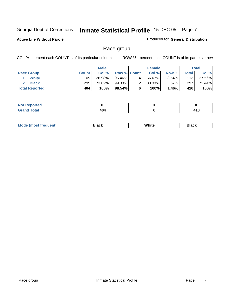#### **Active Life Without Parole**

#### Produced for **General Distribution**

## Race group

|                       |              | <b>Male</b> |                      |   | <b>Female</b> |          |       | <b>Total</b> |
|-----------------------|--------------|-------------|----------------------|---|---------------|----------|-------|--------------|
| <b>Race Group</b>     | <b>Count</b> | Col %       | <b>Row % Count</b>   |   | Col %         | Row %    | Total | Col %        |
| <b>White</b>          | 109          | 26.98%      | $96.\overline{46\%}$ | 4 | 66.67%        | $3.54\%$ | 113   | 27.56%       |
| <b>Black</b>          | 295          | 73.02%      | 99.33%               | ົ | $33.33\%$     | .67%     | 297   | 72.44%       |
| <b>Total Reported</b> | 404          | 100%        | 98.54%               |   | 100%          | $1.46\%$ | 410   | 100%         |

| <b>roorted</b><br><b>NOT REDC</b><br>.<br>$\mathbf{r}$ . The set |     |               |
|------------------------------------------------------------------|-----|---------------|
| <b>Total</b>                                                     | 404 | 84 C<br>7 I V |

| ' M∩<br>nuemn<br> | Black | White | 3lack |
|-------------------|-------|-------|-------|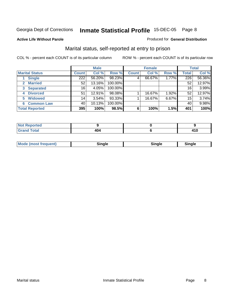#### **Active Life Without Parole**

#### Produced for **General Distribution**

## Marital status, self-reported at entry to prison

|                                  |                  | <b>Male</b> |         |              | <b>Female</b> |       |       | <b>Total</b> |
|----------------------------------|------------------|-------------|---------|--------------|---------------|-------|-------|--------------|
| <b>Marital Status</b>            | <b>Count</b>     | Col %       | Row %   | <b>Count</b> | Col %         | Row % | Total | Col %        |
| <b>Single</b>                    | $\overline{222}$ | 56.20%      | 98.23%  | 4            | 66.67%        | 1.77% | 226   | 56.36%       |
| <b>Married</b>                   | 52               | 13.16%      | 100.00% |              |               |       | 52    | 12.97%       |
| <b>Separated</b><br>$\mathbf{3}$ | 16               | 4.05%       | 100.00% |              |               |       | 16    | 3.99%        |
| <b>Divorced</b><br>4             | 51               | 12.91%      | 98.08%  |              | 16.67%        | 1.92% | 52    | 12.97%       |
| <b>Widowed</b><br>5              | 14               | 3.54%       | 93.33%  |              | 16.67%        | 6.67% | 15    | 3.74%        |
| <b>Common Law</b><br>6           | 40               | 10.13%      | 100.00% |              |               |       | 40    | 9.98%        |
| <b>Total Reported</b>            | 395              | 100%        | 98.5%   | 6            | 100%          | 1.5%  | 401   | 100%         |

| .<br>ve u |           |                 |
|-----------|-----------|-----------------|
|           | 4υ<br>___ | . I V<br>$\sim$ |

| <b>Mode</b><br>uent).<br>en<br><b>IMOST IF</b> | Time ale<br>sınale | ືnαle∴ | Sinale |  |
|------------------------------------------------|--------------------|--------|--------|--|
|------------------------------------------------|--------------------|--------|--------|--|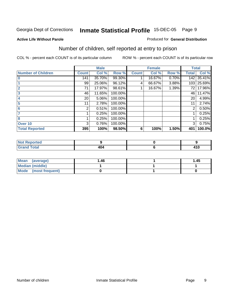#### **Active Life Without Parole**

#### Produced for **General Distribution**

## Number of children, self reported at entry to prison

|                           |              | <b>Male</b> |         |              | <b>Female</b> |       | <b>Total</b> |        |
|---------------------------|--------------|-------------|---------|--------------|---------------|-------|--------------|--------|
| <b>Number of Children</b> | <b>Count</b> | Col %       | Row %   | <b>Count</b> | Col %         | Row % | Total        | Col %  |
| $\bf{0}$                  | 141          | 35.70%      | 99.30%  |              | 16.67%        | 0.70% | 142          | 35.41% |
|                           | 99           | 25.06%      | 96.12%  | 4            | 66.67%        | 3.88% | 103          | 25.69% |
| $\overline{2}$            | 71           | 17.97%      | 98.61%  |              | 16.67%        | 1.39% | 72           | 17.96% |
| 3                         | 46           | 11.65%      | 100.00% |              |               |       | 46           | 11.47% |
| 4                         | 20           | 5.06%       | 100.00% |              |               |       | 20           | 4.99%  |
| 5                         | 11           | 2.78%       | 100.00% |              |               |       | 11           | 2.74%  |
| 6                         | 2            | 0.51%       | 100.00% |              |               |       | 2            | 0.50%  |
|                           |              | 0.25%       | 100.00% |              |               |       |              | 0.25%  |
| 8                         |              | 0.25%       | 100.00% |              |               |       |              | 0.25%  |
| Over 10                   | 3            | 0.76%       | 100.00% |              |               |       | 3            | 0.75%  |
| <b>Total Reported</b>     | 395          | 100%        | 98.50%  | 6            | 100%          | 1.50% | 401          | 100.0% |

| ≺eported                       |                   |              |
|--------------------------------|-------------------|--------------|
| $f$ ota $f$<br>$\sim$ - $\sim$ | .<br>4U.<br>$  -$ | 110<br>4 I V |

| Mean<br>(average)    | 1.46 | 1.45 |
|----------------------|------|------|
| Median (middle)      |      |      |
| Mode (most frequent) |      |      |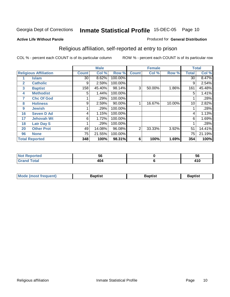#### **Active Life Without Parole**

#### Produced for **General Distribution**

## Religious affiliation, self-reported at entry to prison

|              |                              |                 | <b>Male</b> |         |              | <b>Female</b> |        |              | <b>Total</b> |
|--------------|------------------------------|-----------------|-------------|---------|--------------|---------------|--------|--------------|--------------|
|              | <b>Religious Affiliation</b> | <b>Count</b>    | Col %       | Row %   | <b>Count</b> | Col %         | Row %  | <b>Total</b> | Col %        |
|              | <b>Islam</b>                 | $\overline{30}$ | 8.62%       | 100.00% |              |               |        | 30           | 8.47%        |
| $\mathbf{2}$ | <b>Catholic</b>              | 9               | 2.59%       | 100.00% |              |               |        | 9            | 2.54%        |
| 3            | <b>Baptist</b>               | 158             | 45.40%      | 98.14%  | 3            | 50.00%        | 1.86%  | 161          | 45.48%       |
| 4            | <b>Methodist</b>             | 5               | 1.44%       | 100.00% |              |               |        | 5            | 1.41%        |
| 7            | <b>Chc Of God</b>            |                 | .29%        | 100.00% |              |               |        |              | .28%         |
| 8            | <b>Holiness</b>              | 9               | 2.59%       | 90.00%  |              | 16.67%        | 10.00% | 10           | 2.82%        |
| 9            | <b>Jewish</b>                |                 | .29%        | 100.00% |              |               |        |              | .28%         |
| 16           | <b>Seven D Ad</b>            | 4               | 1.15%       | 100.00% |              |               |        | 4            | 1.13%        |
| 17           | <b>Jehovah Wt</b>            | 6               | 1.72%       | 100.00% |              |               |        | 6            | 1.69%        |
| 18           | <b>Latr Day S</b>            |                 | .29%        | 100.00% |              |               |        |              | .28%         |
| 20           | <b>Other Prot</b>            | 49              | 14.08%      | 96.08%  | 2            | 33.33%        | 3.92%  | 51           | 14.41%       |
| 96           | <b>None</b>                  | 75              | 21.55%      | 100.00% |              |               |        | 75           | 21.19%       |
|              | <b>Total Reported</b>        | 348             | 100%        | 98.31%  | 6            | 100%          | 1.69%  | 354          | 100%         |

| uao | JU<br>- - | วง  |
|-----|-----------|-----|
|     | .         | 410 |

| <b>Mode (most frequent)</b> | Baptist | <b>Baptist</b> | Baptist |
|-----------------------------|---------|----------------|---------|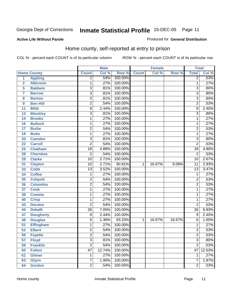Produced for **General Distribution**

#### **Active Life Without Parole**

## Home county, self-reported at entry to prison

|                |                    |                 | <b>Male</b> |         |              | Female |        | <b>Total</b>    |        |
|----------------|--------------------|-----------------|-------------|---------|--------------|--------|--------|-----------------|--------|
|                | <b>Home County</b> | <b>Count</b>    | Col %       | Row %   | <b>Count</b> | Col %  | Row %  | <b>Total</b>    | Col %  |
| $\overline{1}$ | <b>Appling</b>     | $\overline{2}$  | .54%        | 100.00% |              |        |        | $\overline{2}$  | .53%   |
| $\overline{2}$ | <b>Atkinson</b>    | 1               | .27%        | 100.00% |              |        |        | $\mathbf{1}$    | .27%   |
| 5              | <b>Baldwin</b>     | $\overline{3}$  | .81%        | 100.00% |              |        |        | 3               | .80%   |
| $\overline{7}$ | <b>Barrow</b>      | $\overline{3}$  | .81%        | 100.00% |              |        |        | $\overline{3}$  | .80%   |
| 8              | <b>Bartow</b>      | $\overline{3}$  | .81%        | 100.00% |              |        |        | $\overline{3}$  | .80%   |
| 9              | <b>Ben Hill</b>    | $\overline{2}$  | .54%        | 100.00% |              |        |        | $\overline{2}$  | .53%   |
| 11             | <b>Bibb</b>        | $\overline{9}$  | 2.44%       | 100.00% |              |        |        | 9               | 2.40%  |
| 12             | <b>Bleckley</b>    | 3               | .81%        | 100.00% |              |        |        | $\overline{3}$  | .80%   |
| 14             | <b>Brooks</b>      | 1               | .27%        | 100.00% |              |        |        | 1               | .27%   |
| 16             | <b>Bulloch</b>     | 1               | .27%        | 100.00% |              |        |        | 1               | .27%   |
| 17             | <b>Burke</b>       | $\overline{2}$  | .54%        | 100.00% |              |        |        | $\overline{c}$  | .53%   |
| 18             | <b>Butts</b>       | 1               | .27%        | 100.00% |              |        |        | $\mathbf{1}$    | .27%   |
| 20             | <b>Camden</b>      | $\overline{3}$  | .81%        | 100.00% |              |        |        | $\overline{3}$  | .80%   |
| 22             | <b>Carroll</b>     | $\overline{2}$  | .54%        | 100.00% |              |        |        | $\overline{2}$  | .53%   |
| 25             | <b>Chatham</b>     | $\overline{18}$ | 4.88%       | 100.00% |              |        |        | 18              | 4.80%  |
| 28             | <b>Cherokee</b>    | $\overline{2}$  | .54%        | 100.00% |              |        |        | $\overline{2}$  | .53%   |
| 29             | <b>Clarke</b>      | $\overline{10}$ | 2.71%       | 100.00% |              |        |        | 10              | 2.67%  |
| 31             | <b>Clayton</b>     | $\overline{10}$ | 2.71%       | 90.91%  | $\mathbf{1}$ | 16.67% | 9.09%  | $\overline{11}$ | 2.93%  |
| 33             | <b>Cobb</b>        | $\overline{13}$ | 3.52%       | 100.00% |              |        |        | $\overline{13}$ | 3.47%  |
| 34             | <b>Coffee</b>      | 1               | .27%        | 100.00% |              |        |        | $\mathbf{1}$    | .27%   |
| 35             | <b>Colquitt</b>    | $\overline{2}$  | .54%        | 100.00% |              |        |        | $\overline{2}$  | .53%   |
| 36             | <b>Columbia</b>    | $\overline{2}$  | .54%        | 100.00% |              |        |        | $\overline{2}$  | .53%   |
| 37             | <b>Cook</b>        | 1               | .27%        | 100.00% |              |        |        | 1               | .27%   |
| 38             | <b>Coweta</b>      | 1               | .27%        | 100.00% |              |        |        | $\mathbf{1}$    | .27%   |
| 40             | <b>Crisp</b>       | 1               | .27%        | 100.00% |              |        |        | $\mathbf{1}$    | .27%   |
| 43             | <b>Decatur</b>     | $\overline{2}$  | .54%        | 100.00% |              |        |        | $\overline{2}$  | .53%   |
| 44             | <b>Dekalb</b>      | $\overline{26}$ | 7.05%       | 100.00% |              |        |        | $\overline{26}$ | 6.93%  |
| 47             | <b>Dougherty</b>   | $\overline{9}$  | 2.44%       | 100.00% |              |        |        | $\overline{9}$  | 2.40%  |
| 48             | <b>Douglas</b>     | 5               | 1.36%       | 83.33%  | 1            | 16.67% | 16.67% | $\overline{6}$  | 1.60%  |
| 51             | <b>Effingham</b>   | 1               | .27%        | 100.00% |              |        |        | 1               | .27%   |
| 52             | <b>Elbert</b>      | $\overline{2}$  | .54%        | 100.00% |              |        |        | $\overline{2}$  | .53%   |
| 56             | <b>Fayette</b>     | $\overline{2}$  | .54%        | 100.00% |              |        |        | $\overline{2}$  | .53%   |
| 57             | <b>Floyd</b>       | $\overline{3}$  | .81%        | 100.00% |              |        |        | $\overline{3}$  | .80%   |
| 59             | <b>Franklin</b>    | $\overline{2}$  | .54%        | 100.00% |              |        |        | $\overline{2}$  | .53%   |
| 60             | <b>Fulton</b>      | $\overline{47}$ | 12.74%      | 100.00% |              |        |        | 47              | 12.53% |
| 61             | <b>Gilmer</b>      | 1               | .27%        | 100.00% |              |        |        | 1               | .27%   |
| 63             | <b>Glynn</b>       | 7               | 1.90%       | 100.00% |              |        |        | 7               | 1.87%  |
| 64             | <b>Gordon</b>      | $\overline{2}$  | .54%        | 100.00% |              |        |        | $\overline{2}$  | .53%   |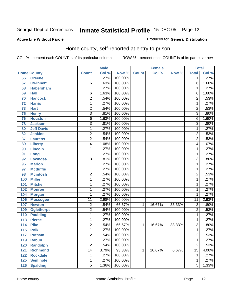#### **Active Life Without Parole**

#### Produced for **General Distribution**

## Home county, self-reported at entry to prison

|                  |                    |                 | <b>Male</b> |         |              | <b>Female</b> |        | <b>Total</b>    |       |
|------------------|--------------------|-----------------|-------------|---------|--------------|---------------|--------|-----------------|-------|
|                  | <b>Home County</b> | <b>Count</b>    | Col %       | Row %   | <b>Count</b> | Col %         | Row %  | <b>Total</b>    | Col % |
| 66               | <b>Greene</b>      | 1               | .27%        | 100.00% |              |               |        | $\overline{1}$  | .27%  |
| 67               | <b>Gwinnett</b>    | 6               | 1.63%       | 100.00% |              |               |        | $\overline{6}$  | 1.60% |
| 68               | <b>Habersham</b>   | 1               | .27%        | 100.00% |              |               |        | 1               | .27%  |
| 69               | <b>Hall</b>        | 6               | 1.63%       | 100.00% |              |               |        | $\overline{6}$  | 1.60% |
| 70               | <b>Hancock</b>     | $\overline{2}$  | .54%        | 100.00% |              |               |        | $\overline{2}$  | .53%  |
| 72               | <b>Harris</b>      | 1               | .27%        | 100.00% |              |               |        | 1               | .27%  |
| $\overline{73}$  | <b>Hart</b>        | $\overline{2}$  | .54%        | 100.00% |              |               |        | $\overline{2}$  | .53%  |
| 75               | <b>Henry</b>       | $\overline{3}$  | .81%        | 100.00% |              |               |        | $\overline{3}$  | .80%  |
| 76               | <b>Houston</b>     | $\overline{6}$  | 1.63%       | 100.00% |              |               |        | $\overline{6}$  | 1.60% |
| 78               | <b>Jackson</b>     | $\overline{3}$  | .81%        | 100.00% |              |               |        | $\overline{3}$  | .80%  |
| 80               | <b>Jeff Davis</b>  | 1               | .27%        | 100.00% |              |               |        | $\overline{1}$  | .27%  |
| 82               | <b>Jenkins</b>     | $\overline{2}$  | .54%        | 100.00% |              |               |        | $\overline{2}$  | .53%  |
| 87               | <b>Laurens</b>     | $\overline{2}$  | .54%        | 100.00% |              |               |        | $\overline{2}$  | .53%  |
| 89               | <b>Liberty</b>     | 4               | 1.08%       | 100.00% |              |               |        | $\overline{4}$  | 1.07% |
| 90               | <b>Lincoln</b>     | 1               | .27%        | 100.00% |              |               |        | 1               | .27%  |
| 91               | Long               | 1               | .27%        | 100.00% |              |               |        | 1               | .27%  |
| 92               | <b>Lowndes</b>     | $\overline{3}$  | .81%        | 100.00% |              |               |        | $\overline{3}$  | .80%  |
| 96               | <b>Marion</b>      | 1               | .27%        | 100.00% |              |               |        | 1               | .27%  |
| 97               | <b>Mcduffie</b>    | 1               | .27%        | 100.00% |              |               |        | 1               | .27%  |
| 98               | <b>Mcintosh</b>    | $\overline{2}$  | .54%        | 100.00% |              |               |        | $\overline{2}$  | .53%  |
| 100              | <b>Miller</b>      | 1               | .27%        | 100.00% |              |               |        | $\overline{1}$  | .27%  |
| 101              | <b>Mitchell</b>    | 1               | .27%        | 100.00% |              |               |        | 1               | .27%  |
| 102              | <b>Monroe</b>      | 1               | .27%        | 100.00% |              |               |        | 1               | .27%  |
| 104              | <b>Morgan</b>      | 1               | .27%        | 100.00% |              |               |        | 1               | .27%  |
| 106              | <b>Muscogee</b>    | $\overline{11}$ | 2.98%       | 100.00% |              |               |        | $\overline{11}$ | 2.93% |
| 107              | <b>Newton</b>      | $\overline{2}$  | .54%        | 66.67%  | $\mathbf{1}$ | 16.67%        | 33.33% | $\overline{3}$  | .80%  |
| 109              | <b>Oglethorpe</b>  | $\overline{2}$  | .54%        | 100.00% |              |               |        | $\overline{2}$  | .53%  |
| 110              | <b>Paulding</b>    | 1               | .27%        | 100.00% |              |               |        | $\overline{1}$  | .27%  |
| $\overline{113}$ | <b>Pierce</b>      | 1               | .27%        | 100.00% |              |               |        | 1               | .27%  |
| 114              | <b>Pike</b>        | $\overline{2}$  | .54%        | 66.67%  | 1            | 16.67%        | 33.33% | $\overline{3}$  | .80%  |
| $\overline{115}$ | <b>Polk</b>        | $\overline{1}$  | .27%        | 100.00% |              |               |        | $\overline{1}$  | .27%  |
| 117              | <b>Putnam</b>      | $\overline{c}$  | .54%        | 100.00% |              |               |        | $\overline{c}$  | .53%  |
| 119              | Rabun              | $\overline{1}$  | .27%        | 100.00% |              |               |        | $\overline{1}$  | .27%  |
| 120              | <b>Randolph</b>    | $\overline{2}$  | .54%        | 100.00% |              |               |        | $\overline{2}$  | .53%  |
| 121              | <b>Richmond</b>    | $\overline{14}$ | 3.79%       | 93.33%  | 1            | 16.67%        | 6.67%  | $\overline{15}$ | 4.00% |
| 122              | <b>Rockdale</b>    | 1               | .27%        | 100.00% |              |               |        | $\overline{1}$  | .27%  |
| 125              | <b>Seminole</b>    | 1               | .27%        | 100.00% |              |               |        | $\overline{1}$  | .27%  |
| 126              | <b>Spalding</b>    | $\overline{5}$  | 1.36%       | 100.00% |              |               |        | $\overline{5}$  | 1.33% |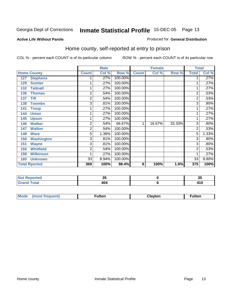#### **Active Life Without Parole**

#### Produced for **General Distribution**

## Home county, self-reported at entry to prison

|     |                      |                | <b>Male</b> |         |                | <b>Female</b> |        | <b>Total</b>   |       |
|-----|----------------------|----------------|-------------|---------|----------------|---------------|--------|----------------|-------|
|     | <b>Home County</b>   | <b>Count</b>   | Col %       | Row %   | <b>Count</b>   | Col %         | Row %  | <b>Total</b>   | Col % |
| 127 | <b>Stephens</b>      |                | .27%        | 100.00% |                |               |        | 1.             | .27%  |
| 129 | <b>Sumter</b>        |                | .27%        | 100.00% |                |               |        | 1              | .27%  |
| 132 | <b>Tattnall</b>      |                | .27%        | 100.00% |                |               |        | 1              | .27%  |
| 136 | <b>Thomas</b>        | 2              | .54%        | 100.00% |                |               |        | $\overline{2}$ | .53%  |
| 137 | <b>Tift</b>          | 2              | .54%        | 100.00% |                |               |        | $\overline{2}$ | .53%  |
| 138 | <b>Toombs</b>        | 3              | .81%        | 100.00% |                |               |        | $\overline{3}$ | .80%  |
| 141 | <b>Troup</b>         |                | .27%        | 100.00% |                |               |        |                | .27%  |
| 144 | <b>Union</b>         |                | .27%        | 100.00% |                |               |        | 1              | .27%  |
| 145 | <b>Upson</b>         |                | .27%        | 100.00% |                |               |        | $\mathbf{1}$   | .27%  |
| 146 | <b>Walker</b>        | $\overline{2}$ | .54%        | 66.67%  | 1              | 16.67%        | 33.33% | 3              | .80%  |
| 147 | <b>Walton</b>        | 2              | .54%        | 100.00% |                |               |        | $\overline{2}$ | .53%  |
| 148 | <b>Ware</b>          | 5              | 1.36%       | 100.00% |                |               |        | 5              | 1.33% |
| 150 | <b>Washington</b>    | 3              | .81%        | 100.00% |                |               |        | $\overline{3}$ | .80%  |
| 151 | <b>Wayne</b>         | 3              | .81%        | 100.00% |                |               |        | 3              | .80%  |
| 155 | <b>Whitfield</b>     | 2              | .54%        | 100.00% |                |               |        | $\overline{2}$ | .53%  |
| 158 | <b>Wilkinson</b>     |                | .27%        | 100.00% |                |               |        | 1              | .27%  |
| 160 | <b>Unknown</b>       | 33             | 8.94%       | 100.00% |                |               |        | 33             | 8.80% |
|     | <b>Total Rported</b> | 369            | 100%        | 98.4%   | $6\phantom{1}$ | 100%          | 1.6%   | 375            | 100%  |

| <b>Reported</b> | ູ           | J.                    |
|-----------------|-------------|-----------------------|
| <b>otal</b>     | 10 I<br>4V4 | 1 <i>.</i> A<br>4 I V |

| <b>Mou</b><br>ıltor<br>$-$<br> | $\sim$ $\sim$ | ultor |
|--------------------------------|---------------|-------|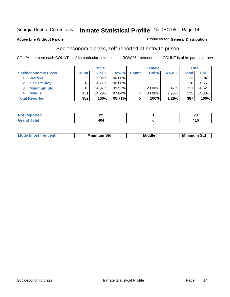#### **Active Life Without Parole**

#### Produced for **General Distribution**

## Socioeconomic class, self-reported at entry to prison

|                            |              | <b>Male</b> |            | <b>Female</b> |           |          | <b>Total</b> |        |
|----------------------------|--------------|-------------|------------|---------------|-----------|----------|--------------|--------|
| <b>Socioeconomic Class</b> | <b>Count</b> | Col %       | Row %      | <b>Count</b>  | Col %     | Row %    | Total,       | Col %  |
| <b>Welfare</b>             | 23           | 6.02%       | 100.00%    |               |           |          | 23           | 5.94%  |
| <b>Occ Employ</b>          | 18           | 4.71%       | $100.00\%$ |               |           |          | 18           | 4.65%  |
| <b>Minimum Std</b><br>3    | 210          | 54.97%      | 99.53%     |               | $20.00\%$ | .47%     | 211          | 54.52% |
| <b>Middle</b>              | 131          | 34.29%      | $97.04\%$  |               | 80.00%    | $2.96\%$ | 135          | 34.88% |
| <b>Total Reported</b>      | 382          | 100%        | 98.71%     |               | 100%      | 1.29%    | 387          | 100%   |

| <b>Construction Construction</b><br>тео | $\sim$<br>-- | $-$<br>--<br>and the control of the |
|-----------------------------------------|--------------|-------------------------------------|
| $-1 - 1$                                | 404          | 2 I V                               |

| <b>Minin</b><br>Std<br>3td<br>aic<br>.<br>____ |
|------------------------------------------------|
|------------------------------------------------|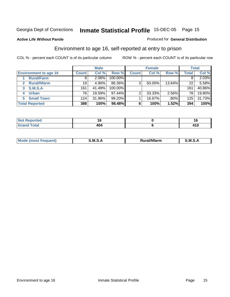#### **Active Life Without Parole**

#### Produced for **General Distribution**

## Environment to age 16, self-reported at entry to prison

|                              |              | <b>Male</b> |           |              | <b>Female</b> |         |       | <b>Total</b> |
|------------------------------|--------------|-------------|-----------|--------------|---------------|---------|-------|--------------|
| <b>Environment to age 16</b> | <b>Count</b> | Col %       | Row %     | <b>Count</b> | Col %         | Row %   | Total | Col %        |
| <b>Rural/Farm</b>            | 8            | 2.06%       | 100.00%   |              |               |         |       | 2.03%        |
| <b>Rural/Nfarm</b>           | 19           | 4.90%       | 86.36%    | 3            | 50.00%        | 13.64%  | 22    | 5.58%        |
| <b>S.M.S.A</b><br>3          | 161          | 41.49%      | 100.00%   |              |               |         | 161   | 40.86%       |
| <b>Urban</b>                 | 76           | 19.59%      | $97.44\%$ | っ            | 33.33%        | 2.56%   | 78    | 19.80%       |
| <b>Small Town</b><br>5.      | 124          | 31.96%      | 99.20%    |              | 16.67%        | $.80\%$ | 125   | 31.73%       |
| <b>Total Reported</b>        | 388          | 100%        | 98.48%    |              | 100%          | 1.52%   | 394   | 100%         |

| <b>orted</b><br><b>Not</b><br>керо |          |       |
|------------------------------------|----------|-------|
| <b>Total</b><br>Grand              | .<br>404 | 7 I V |

| M<br>.<br>---<br>s an A<br>.<br>M<br>M<br>-- |  |  |
|----------------------------------------------|--|--|
|                                              |  |  |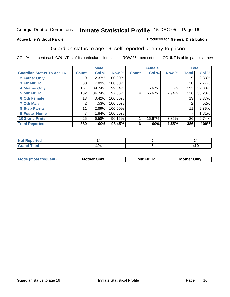#### **Active Life Without Parole**

#### Produced for **General Distribution**

## Guardian status to age 16, self-reported at entry to prison

|                                  |                 | <b>Male</b> |         |              | <b>Female</b> |       |              | <b>Total</b> |
|----------------------------------|-----------------|-------------|---------|--------------|---------------|-------|--------------|--------------|
| <b>Guardian Status To Age 16</b> | <b>Count</b>    | Col %       | Row %   | <b>Count</b> | Col %         | Row % | <b>Total</b> | Col %        |
| 2 Father Only                    | 9               | 2.37%       | 100.00% |              |               |       | 9            | 2.33%        |
| 3 Ftr Mtr Hd                     | 30 <sub>1</sub> | 7.89%       | 100.00% |              |               |       | 30           | 7.77%        |
| <b>4 Mother Only</b>             | 151             | 39.74%      | 99.34%  |              | 16.67%        | .66%  | 152          | 39.38%       |
| 5 Mtr Ftr Hd                     | 132             | 34.74%      | 97.06%  | 4            | 66.67%        | 2.94% | 136          | 35.23%       |
| <b>6 Oth Female</b>              | 13              | 3.42%       | 100.00% |              |               |       | 13           | 3.37%        |
| <b>7 Oth Male</b>                | $\overline{2}$  | .53%        | 100.00% |              |               |       | 2            | .52%         |
| 8 Step-Parnts                    | 11              | 2.89%       | 100.00% |              |               |       | 11           | 2.85%        |
| 9 Foster Home                    | 7               | 1.84%       | 100.00% |              |               |       | 7            | 1.81%        |
| <b>10 Grand Prnts</b>            | 25              | 6.58%       | 96.15%  |              | 16.67%        | 3.85% | 26           | 6.74%        |
| <b>Total Reported</b>            | 380             | 100%        | 98.45%  | 6            | 100%          | 1.55% | 386          | 100%         |

| <b>Mod</b> | <b>Mother</b><br>Onlv | Hc<br>. <u>.</u><br>Mtr | Only |
|------------|-----------------------|-------------------------|------|
|            |                       |                         |      |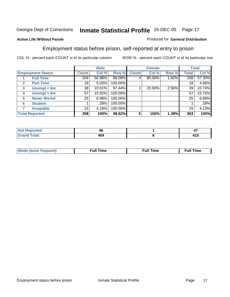#### **Active Life Without Parole**

#### Produced for **General Distribution**

## Employment status before prison, self-reported at entry to prison

|                                  |              | <b>Male</b> |           |              | <b>Female</b> |       |       | <b>Total</b> |
|----------------------------------|--------------|-------------|-----------|--------------|---------------|-------|-------|--------------|
| <b>Employment Status</b>         | <b>Count</b> | Col %       | Row %     | <b>Count</b> | Col %         | Row % | Total | Col %        |
| <b>Full Time</b>                 | 204          | 56.98%      | 98.08%    |              | 80.00%        | 1.92% | 208   | 57.30%       |
| <b>Part Time</b><br>$\mathbf{2}$ | 18           | 5.03%       | 100.00%   |              |               |       | 18    | 4.96%        |
| Unempl $<$ 6m<br>3               | 38           | 10.61%      | $97.44\%$ |              | 20.00%        | 2.56% | 39    | 10.74%       |
| Unempl $> 6m$<br>4               | 57           | 15.92%      | 100.00%   |              |               |       | 57    | 15.70%       |
| <b>Never Workd</b><br>5          | 25           | 6.98%       | 100.00%   |              |               |       | 25    | 6.89%        |
| <b>Student</b><br>6              |              | .28%        | 100.00%   |              |               |       |       | .28%         |
| <b>Incapable</b>                 | 15           | 4.19%       | 100.00%   |              |               |       | 15    | 4.13%        |
| <b>Total Reported</b>            | 358          | 100%        | 98.62%    | 5            | 100%          | 1.38% | 363   | 100%         |

|        | 40  | − ∗   |
|--------|-----|-------|
| $   -$ | 404 | 4 I V |

| Mο | 'un<br>.me<br>the contract of the contract of the contract of the contract of the contract of the contract of the contract of | the contract of the contract of the contract of the contract of the contract of the contract of the contract of | <b>Full Time</b> |
|----|-------------------------------------------------------------------------------------------------------------------------------|-----------------------------------------------------------------------------------------------------------------|------------------|
|    |                                                                                                                               |                                                                                                                 |                  |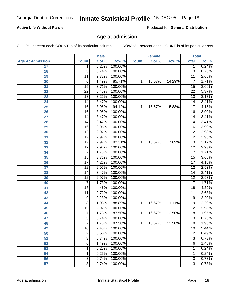#### **Active Life Without Parole**

Produced for **General Distribution**

## Age at admission

|                         |                 | <b>Male</b> |         |              | <b>Female</b> |        | <b>Total</b>    |       |
|-------------------------|-----------------|-------------|---------|--------------|---------------|--------|-----------------|-------|
| <b>Age At Admission</b> | <b>Count</b>    | Col %       | Row %   | <b>Count</b> | Col %         | Row %  | <b>Total</b>    | Col % |
| 17                      | 1               | 0.25%       | 100.00% |              |               |        | 1               | 0.24% |
| 18                      | $\overline{3}$  | 0.74%       | 100.00% |              |               |        | $\overline{3}$  | 0.73% |
| 19                      | 11              | 2.72%       | 100.00% |              |               |        | $\overline{11}$ | 2.68% |
| 20                      | 6               | 1.49%       | 85.71%  | 1            | 16.67%        | 14.29% | 7               | 1.71% |
| 21                      | 15              | 3.71%       | 100.00% |              |               |        | 15              | 3.66% |
| 22                      | $\overline{22}$ | 5.45%       | 100.00% |              |               |        | $\overline{22}$ | 5.37% |
| 23                      | $\overline{13}$ | 3.22%       | 100.00% |              |               |        | $\overline{13}$ | 3.17% |
| 24                      | 14              | 3.47%       | 100.00% |              |               |        | 14              | 3.41% |
| 25                      | 16              | 3.96%       | 94.12%  | 1            | 16.67%        | 5.88%  | 17              | 4.15% |
| 26                      | 16              | 3.96%       | 100.00% |              |               |        | 16              | 3.90% |
| 27                      | 14              | 3.47%       | 100.00% |              |               |        | $\overline{14}$ | 3.41% |
| 28                      | 14              | 3.47%       | 100.00% |              |               |        | 14              | 3.41% |
| 29                      | $\overline{16}$ | 3.96%       | 100.00% |              |               |        | $\overline{16}$ | 3.90% |
| 30                      | $\overline{12}$ | 2.97%       | 100.00% |              |               |        | $\overline{12}$ | 2.93% |
| 31                      | $\overline{12}$ | 2.97%       | 100.00% |              |               |        | $\overline{12}$ | 2.93% |
| 32                      | $\overline{12}$ | 2.97%       | 92.31%  | 1            | 16.67%        | 7.69%  | $\overline{13}$ | 3.17% |
| 33                      | 12              | 2.97%       | 100.00% |              |               |        | $\overline{12}$ | 2.93% |
| 34                      | 7               | 1.73%       | 100.00% |              |               |        | 7               | 1.71% |
| 35                      | 15              | 3.71%       | 100.00% |              |               |        | $\overline{15}$ | 3.66% |
| 36                      | $\overline{17}$ | 4.21%       | 100.00% |              |               |        | $\overline{17}$ | 4.15% |
| 37                      | $\overline{12}$ | 2.97%       | 100.00% |              |               |        | $\overline{12}$ | 2.93% |
| 38                      | 14              | 3.47%       | 100.00% |              |               |        | 14              | 3.41% |
| 39                      | $\overline{12}$ | 2.97%       | 100.00% |              |               |        | $\overline{12}$ | 2.93% |
| 40                      | $\overline{7}$  | 1.73%       | 100.00% |              |               |        | 7               | 1.71% |
| 41                      | 18              | 4.46%       | 100.00% |              |               |        | 18              | 4.39% |
| 42                      | 11              | 2.72%       | 100.00% |              |               |        | 11              | 2.68% |
| 43                      | 9               | 2.23%       | 100.00% |              |               |        | 9               | 2.20% |
| 44                      | 8               | 1.98%       | 88.89%  | 1            | 16.67%        | 11.11% | 9               | 2.20% |
| 45                      | 12              | 2.97%       | 100.00% |              |               |        | $\overline{12}$ | 2.93% |
| 46                      | $\overline{7}$  | 1.73%       | 87.50%  | 1            | 16.67%        | 12.50% | $\overline{8}$  | 1.95% |
| 47                      | 3               | 0.74%       | 100.00% |              |               |        | $\overline{3}$  | 0.73% |
| 48                      | <sup>'</sup>    | 1.73%       | 87.50%  | 1            | 16.67%        | 12.50% | 8               | 1.95% |
| 49                      | 10              | 2.48%       | 100.00% |              |               |        | 10              | 2.44% |
| 50                      | 2               | 0.50%       | 100.00% |              |               |        | $\overline{2}$  | 0.49% |
| 51                      | 3               | 0.74%       | 100.00% |              |               |        | $\overline{3}$  | 0.73% |
| 52                      | 6               | 1.49%       | 100.00% |              |               |        | 6               | 1.46% |
| 53                      | 1               | 0.25%       | 100.00% |              |               |        | 1               | 0.24% |
| 54                      | 1               | 0.25%       | 100.00% |              |               |        | 1               | 0.24% |
| 56                      | 3               | 0.74%       | 100.00% |              |               |        | $\overline{3}$  | 0.73% |
| 57                      | $\overline{3}$  | 0.74%       | 100.00% |              |               |        | $\overline{3}$  | 0.73% |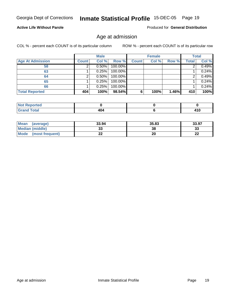#### **Active Life Without Parole**

Produced for **General Distribution**

## Age at admission

|                         |              | <b>Male</b> |         |              | <b>Female</b> |       |       | <b>Total</b> |
|-------------------------|--------------|-------------|---------|--------------|---------------|-------|-------|--------------|
| <b>Age At Admission</b> | <b>Count</b> | Col %       | Row %   | <b>Count</b> | Col %         | Row % | Total | Col %        |
| 58                      |              | 0.50%       | 100.00% |              |               |       |       | 0.49%        |
| 63                      |              | 0.25%       | 100.00% |              |               |       |       | 0.24%        |
| 64                      |              | 0.50%       | 100.00% |              |               |       |       | 0.49%        |
| 65                      |              | 0.25%       | 100.00% |              |               |       |       | 0.24%        |
| 66                      |              | 0.25%       | 100.00% |              |               |       |       | 0.24%        |
| <b>Total Reported</b>   | 404          | 100%        | 98.54%  | 6            | 100%          | 1.46% | 410   | 100%         |

| w<br>. Reportea<br>$\sim$ |     |       |
|---------------------------|-----|-------|
| $f \wedge f \wedge f$     | ___ | T I V |

| <b>Mean</b><br>(average) | 33.94 | 35.83 | 33.97        |
|--------------------------|-------|-------|--------------|
| Median (middle)          | JJ    | 38    | 33           |
| Mode<br>(most frequent)  |       | 20    | $\sim$<br>LL |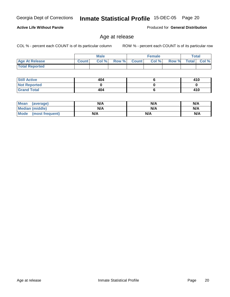**Not Reported Grand Total**

 **Still Active**

 **Total Reported**

**Active Life Without Parole** 

| <b>Mean</b><br>(average) | N/A | N/A | N/A |
|--------------------------|-----|-----|-----|
| Median (middle)          | N/A | N/A | N/A |
| Mode (most frequent)     | N/A | N/A | N/A |

 **Age At Release Count Col % Row % Count Col % Row % Total Col %** 

## Age at release

**Male**

 **404 0 404**

COL % - percent each COUNT is of its particular column ROW % - percent each COUNT is of its particular row

**Female Total**

Produced for **General Distribution**

 **410 0 410**

 **6 0 6**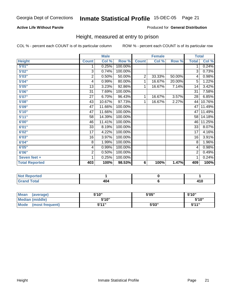#### **Active Life Without Parole**

#### Produced for **General Distribution**

## Height, measured at entry to prison

|                       |                 | <b>Male</b> |         |                | <b>Female</b> |        |                 | <b>Total</b> |
|-----------------------|-----------------|-------------|---------|----------------|---------------|--------|-----------------|--------------|
| <b>Height</b>         | <b>Count</b>    | Col %       | Row %   | <b>Count</b>   | Col %         | Row %  | <b>Total</b>    | Col %        |
| 5'01''                | 1               | 0.25%       | 100.00% |                |               |        | 1               | 0.24%        |
| 5'02"                 | 3               | 0.74%       | 100.00% |                |               |        | 3               | 0.73%        |
| 5'03"                 | 2               | 0.50%       | 50.00%  | $\overline{2}$ | 33.33%        | 50.00% | 4               | 0.98%        |
| 5'04"                 | 4               | 0.99%       | 80.00%  | 1              | 16.67%        | 20.00% | 5               | 1.22%        |
| 5'05"                 | 13              | 3.23%       | 92.86%  | 1              | 16.67%        | 7.14%  | 14              | 3.42%        |
| 5'06"                 | 31              | 7.69%       | 100.00% |                |               |        | $\overline{31}$ | 7.58%        |
| 5'07''                | 27              | 6.70%       | 96.43%  | 1              | 16.67%        | 3.57%  | 28              | 6.85%        |
| 5'08"                 | 43              | 10.67%      | 97.73%  | 1              | 16.67%        | 2.27%  | 44              | 10.76%       |
| 5'09''                | 47              | 11.66%      | 100.00% |                |               |        | 47              | 11.49%       |
| 5'10''                | $\overline{47}$ | 11.66%      | 100.00% |                |               |        | 47              | 11.49%       |
| 5'11''                | 58              | 14.39%      | 100.00% |                |               |        | 58              | 14.18%       |
| 6'00"                 | 46              | 11.41%      | 100.00% |                |               |        | 46              | 11.25%       |
| 6'01"                 | 33              | 8.19%       | 100.00% |                |               |        | 33              | 8.07%        |
| 6'02"                 | 17              | 4.22%       | 100.00% |                |               |        | 17              | 4.16%        |
| 6'03"                 | 16              | 3.97%       | 100.00% |                |               |        | 16              | 3.91%        |
| 6'04"                 | 8               | 1.99%       | 100.00% |                |               |        | 8               | 1.96%        |
| 6'05"                 | 4               | 0.99%       | 100.00% |                |               |        | 4               | 0.98%        |
| 6'06"                 | $\overline{c}$  | 0.50%       | 100.00% |                |               |        | 2               | 0.49%        |
| Seven feet +          | 1               | 0.25%       | 100.00% |                |               |        | 1               | 0.24%        |
| <b>Total Reported</b> | 403             | 100%        | 98.53%  | 6              | 100%          | 1.47%  | 409             | 100%         |

| ortea<br>.  |             |       |
|-------------|-------------|-------|
| $\sim$<br>. | ג הו<br>___ | 7 I V |

| Mean<br>(average)       | 5'10" | 5'05" | 5'10"        |
|-------------------------|-------|-------|--------------|
| Median (middle)         | 5'10" |       | 5'10"        |
| Mode<br>(most frequent) | 544"  | 5'03" | <b>K'11"</b> |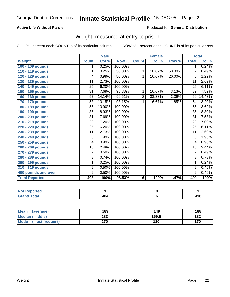#### **Active Life Without Parole**

#### Produced for **General Distribution**

## Weight, measured at entry to prison

|                       |                 | <b>Male</b> |         |                | <b>Female</b> |        | <b>Total</b>    |        |
|-----------------------|-----------------|-------------|---------|----------------|---------------|--------|-----------------|--------|
| Weight                | <b>Count</b>    | Col %       | Row %   | <b>Count</b>   | Col %         | Row %  | <b>Total</b>    | Col %  |
| 100 - 109 pounds      | 1               | 0.25%       | 100.00% |                |               |        | 1               | 0.24%  |
| 110 - 119 pounds      | 1               | 0.25%       | 50.00%  | 1              | 16.67%        | 50.00% | 2               | 0.49%  |
| 120 - 129 pounds      | 4               | 0.99%       | 80.00%  | 1              | 16.67%        | 20.00% | 5               | 1.22%  |
| 130 - 139 pounds      | 11              | 2.73%       | 100.00% |                |               |        | 11              | 2.69%  |
| 140 - 149 pounds      | $\overline{25}$ | 6.20%       | 100.00% |                |               |        | $\overline{25}$ | 6.11%  |
| 150 - 159 pounds      | 31              | 7.69%       | 96.88%  | 1              | 16.67%        | 3.13%  | $\overline{32}$ | 7.82%  |
| 160 - 169 pounds      | 57              | 14.14%      | 96.61%  | $\overline{2}$ | 33.33%        | 3.39%  | 59              | 14.43% |
| 170 - 179 pounds      | 53              | 13.15%      | 98.15%  | 1              | 16.67%        | 1.85%  | 54              | 13.20% |
| 180 - 189 pounds      | 56              | 13.90%      | 100.00% |                |               |        | 56              | 13.69% |
| 190 - 199 pounds      | 36              | 8.93%       | 100.00% |                |               |        | $\overline{36}$ | 8.80%  |
| 200 - 209 pounds      | 31              | 7.69%       | 100.00% |                |               |        | 31              | 7.58%  |
| 210 - 219 pounds      | 29              | 7.20%       | 100.00% |                |               |        | $\overline{29}$ | 7.09%  |
| 220 - 229 pounds      | 25              | 6.20%       | 100.00% |                |               |        | 25              | 6.11%  |
| 230 - 239 pounds      | $\overline{11}$ | 2.73%       | 100.00% |                |               |        | $\overline{11}$ | 2.69%  |
| 240 - 249 pounds      | 8               | 1.99%       | 100.00% |                |               |        | 8               | 1.96%  |
| 250 - 259 pounds      | 4               | 0.99%       | 100.00% |                |               |        | 4               | 0.98%  |
| 260 - 269 pounds      | 10              | 2.48%       | 100.00% |                |               |        | 10              | 2.44%  |
| 270 - 279 pounds      | $\overline{2}$  | 0.50%       | 100.00% |                |               |        | $\overline{2}$  | 0.49%  |
| 280 - 289 pounds      | $\overline{3}$  | 0.74%       | 100.00% |                |               |        | 3               | 0.73%  |
| 290 - 299 pounds      | 1               | 0.25%       | 100.00% |                |               |        | 1               | 0.24%  |
| 310 - 319 pounds      | $\overline{2}$  | 0.50%       | 100.00% |                |               |        | $\overline{2}$  | 0.49%  |
| 400 pounds and over   | $\overline{2}$  | 0.50%       | 100.00% |                |               |        | $\overline{2}$  | 0.49%  |
| <b>Total Reported</b> | 403             | 100%        | 98.53%  | 6              | 100%          | 1.47%  | 409             | 100%   |

| Reported                        |     |            |
|---------------------------------|-----|------------|
| <b>Total</b><br>$- \cdot \cdot$ | 404 | .<br>1 I V |

| <b>Mean</b><br>(average) | 189 | 149   | 188 |
|--------------------------|-----|-------|-----|
| <b>Median (middle)</b>   | 183 | 159.5 | 182 |
| Mode<br>(most frequent)  | 170 | 110   | 170 |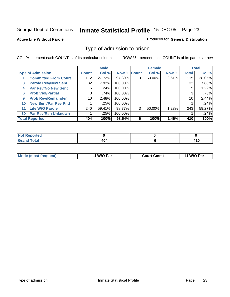#### **Active Life Without Parole**

#### Produced for **General Distribution**

## Type of admission to prison

|    |                             |              | <b>Male</b> |                    |   | <b>Female</b> |       |              | <b>Total</b> |
|----|-----------------------------|--------------|-------------|--------------------|---|---------------|-------|--------------|--------------|
|    | <b>Type of Admission</b>    | <b>Count</b> | Col %       | <b>Row % Count</b> |   | Col %         | Row % | <b>Total</b> | Col %        |
|    | <b>Committed From Court</b> | 112          | 27.72%      | 97.39%             | 3 | 50.00%        | 2.61% | 115          | 28.05%       |
| 3  | <b>Parole Rev/New Sent</b>  | 32           | 7.92%       | 100.00%            |   |               |       | 32           | 7.80%        |
| 4  | <b>Par Rev/No New Sent</b>  | 5.           | 1.24%       | 100.00%            |   |               |       | 5            | 1.22%        |
| 6  | <b>Prob Viol/Partial</b>    | 3            | .74%        | 100.00%            |   |               |       | 3            | .73%         |
| 9  | <b>Prob Rev/Remainder</b>   | 10           | 2.48%       | 100.00%            |   |               |       | 10           | 2.44%        |
| 10 | <b>New Sent/Par Rev Pnd</b> |              | .25%        | 100.00%            |   |               |       |              | .24%         |
| 11 | <b>Life W/O Parole</b>      | 240          | 59.41%      | 98.77%             | 3 | 50.00%        | 1.23% | 243          | 59.27%       |
| 30 | <b>Par Rev/Rsn Unknown</b>  |              | .25%        | 100.00%            |   |               |       |              | .24%         |
|    | <b>Total Reported</b>       | 404          | 100%        | 98.54%             | 6 | 100%          | 1.46% | 410          | 100%         |

| ported?<br>NOT<br>.                 |  |             |
|-------------------------------------|--|-------------|
| <b>Total</b><br>$C$ ror<br>$\sim$ . |  | 44 C<br>TIV |

| <b>Mode (most frequent)</b> | f W/O Par | <b>Court Cmmt</b> | `W/O Par |
|-----------------------------|-----------|-------------------|----------|
|                             |           |                   |          |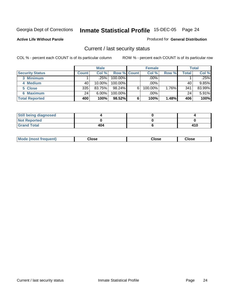#### **Active Life Without Parole**

#### Produced for **General Distribution**

## Current / last security status

|                        |                    | <b>Male</b> |                    |   | <b>Female</b> |       |       | <b>Total</b> |
|------------------------|--------------------|-------------|--------------------|---|---------------|-------|-------|--------------|
| <b>Security Status</b> | Count <sup>1</sup> | Col %       | <b>Row % Count</b> |   | Col %         | Row % | Total | Col %        |
| 3 Minimum              |                    | .25%        | $100.00\%$         |   | .00%          |       |       | .25%         |
| 4 Medium               | 40                 | $10.00\%$   | $100.00\%$         |   | $.00\%$       |       | 40    | 9.85%        |
| 5 Close                | 335                | 83.75%      | 98.24%             | 6 | 100.00%       | 1.76% | 341   | 83.99%       |
| 6 Maximum              | 24                 | $6.00\%$    | 100.00%            |   | $.00\%$       |       | 24    | 5.91%        |
| <b>Total Reported</b>  | 400                | 100%        | 98.52%             | 6 | 100%          | 1.48% | 406   | 100%         |

| <b>Still being diagnosed</b> |     |     |
|------------------------------|-----|-----|
| <b>Not Reported</b>          |     |     |
| <b>Sand Total</b>            | 404 | 410 |

| Mode (most frequent)<br>Close<br>oseت<br>Close |
|------------------------------------------------|
|------------------------------------------------|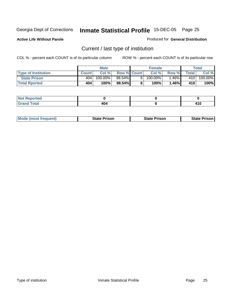**Active Life Without Parole** 

Produced for **General Distribution**

## Current / last type of institution

|                            |              | <b>Male</b> |                    | <b>Female</b> |          |       | Total   |
|----------------------------|--------------|-------------|--------------------|---------------|----------|-------|---------|
| <b>Type of Institution</b> | <b>Count</b> | Col %       | <b>Row % Count</b> | Col %         | Row %    | Total | Col %   |
| <b>State Prison</b>        | 404          | 100.00%     | 98.54%             | $100.00\%$    | .46% l   | 410   | 100.00% |
| <b>Total Rported</b>       | 404          | 100%⊥       | 98.54%             | 100%          | $1.46\%$ | 410   | 100%    |

| د د کې<br>prtea<br>$\sim$ |               |                      |
|---------------------------|---------------|----------------------|
| ______                    | $\sim$ $\sim$ | $\overline{A}$<br>__ |

|  | <b>Mode (most frequent)</b> | <b>State Prison</b> | <b>State Prison</b> | <b>State Prison</b> |
|--|-----------------------------|---------------------|---------------------|---------------------|
|--|-----------------------------|---------------------|---------------------|---------------------|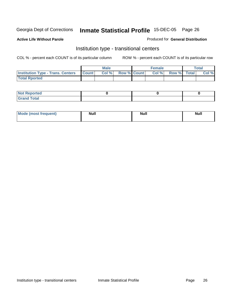**Active Life Without Parole** 

#### Produced for **General Distribution**

## Institution type - transitional centers

|                                          |              | Male  |                    | <b>Female</b> |             | Total |
|------------------------------------------|--------------|-------|--------------------|---------------|-------------|-------|
| <b>Institution Type - Trans. Centers</b> | <b>Count</b> | Col % | <b>Row % Count</b> | Col%          | Row % Total | Col % |
| <b>Total Rported</b>                     |              |       |                    |               |             |       |

| <b>Reported</b><br><b>NOT</b> |  |  |
|-------------------------------|--|--|
| <b>Total</b><br>$C$ ro'<br>_  |  |  |

| Mode (most frequent) | Null | <b>Null</b> | <b>Null</b> |
|----------------------|------|-------------|-------------|
|                      |      |             |             |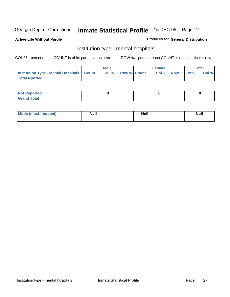**Active Life Without Parole** 

#### Produced for **General Distribution**

## Institution type - mental hospitals

|                                                  | Male  |                    | <b>Female</b> |                   | Total |
|--------------------------------------------------|-------|--------------------|---------------|-------------------|-------|
| <b>Institution Type - Mental Hospitals Count</b> | Col % | <b>Row % Count</b> |               | Col % Row % Total | Col % |
| <b>Total Rported</b>                             |       |                    |               |                   |       |

| <b>Not Reported</b> |  |  |
|---------------------|--|--|
| <b>Total</b><br>r.  |  |  |

| Mode (most frequent) | <b>Null</b> | <b>Null</b> | <b>Null</b> |
|----------------------|-------------|-------------|-------------|
|                      |             |             |             |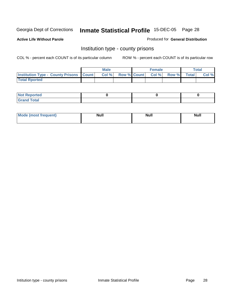**Active Life Without Parole** 

Produced for **General Distribution**

## Institution type - county prisons

|                                                | Male |  | <b>Female</b>            |       |              | <b>Total</b> |
|------------------------------------------------|------|--|--------------------------|-------|--------------|--------------|
| <b>Institution Type - County Prisons Count</b> | Col% |  | <b>Row % Count Col %</b> | Row % | <b>Total</b> | Col %        |
| <b>Total Rported</b>                           |      |  |                          |       |              |              |

| <b>Not Reported</b> |  |  |
|---------------------|--|--|
| <b>Grand Total</b>  |  |  |

| <b>Mode</b><br><b>ost frequent)</b> | <b>Null</b> | <b>Modl</b><br>'YUI. | <b>Null</b> |
|-------------------------------------|-------------|----------------------|-------------|
|                                     |             |                      |             |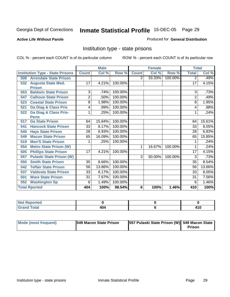#### **Active Life Without Parole**

#### Produced for **General Distribution**

## Institution type - state prisons

|     |                                         |                | <b>Male</b> |         |              | <b>Female</b> |         | <b>Total</b>   |        |
|-----|-----------------------------------------|----------------|-------------|---------|--------------|---------------|---------|----------------|--------|
|     | <b>Institution Type - State Prisons</b> | <b>Count</b>   | Col %       | Row %   | <b>Count</b> | Col %         | Row %   | <b>Total</b>   | Col %  |
| 508 | <b>Arrendale State Prison</b>           |                |             |         | 2            | 33.33%        | 100.00% | 2              | .49%   |
| 532 | <b>Augusta State Med.</b>               | 17             | 4.21%       | 100.00% |              |               |         | 17             | 4.15%  |
|     | <b>Prison</b>                           |                |             |         |              |               |         |                |        |
| 553 | <b>Baldwin State Prison</b>             | $\overline{3}$ | .74%        | 100.00% |              |               |         | 3              | .73%   |
| 547 | <b>Calhoun State Prison</b>             | $\overline{2}$ | .50%        | 100.00% |              |               |         | $\overline{2}$ | .49%   |
| 523 | <b>Coastal State Prison</b>             | 8              | 1.98%       | 100.00% |              |               |         | 8              | 1.95%  |
| 521 | <b>Ga Diag &amp; Class Pris</b>         | 4              | .99%        | 100.00% |              |               |         | 4              | .98%   |
| 522 | <b>Ga Diag &amp; Class Pris-</b>        | 1              | .25%        | 100.00% |              |               |         | 1              | .24%   |
|     | <b>Perm</b>                             |                |             |         |              |               |         |                |        |
| 517 | <b>Ga State Prison</b>                  | 64             | 15.84%      | 100.00% |              |               |         | 64             | 15.61% |
| 541 | <b>Hancock State Prison</b>             | 33             | 8.17%       | 100.00% |              |               |         | 33             | 8.05%  |
| 540 | <b>Hays State Prison</b>                | 28             | 6.93%       | 100.00% |              |               |         | 28             | 6.83%  |
| 549 | <b>Macon State Prison</b>               | 65             | 16.09%      | 100.00% |              |               |         | 65             | 15.85% |
| 519 | <b>Men'S State Prison</b>               |                | .25%        | 100.00% |              |               |         |                | .24%   |
| 554 | <b>Metro State Prison (W)</b>           |                |             |         | 1            | 16.67%        | 100.00% | 1              | .24%   |
| 505 | <b>Phillips State Prison</b>            | 17             | 4.21%       | 100.00% |              |               |         | 17             | 4.15%  |
| 557 | <b>Pulaski State Prison (W)</b>         |                |             |         | 3            | 50.00%        | 100.00% | 3              | .73%   |
| 550 | <b>Smith State Prison</b>               | 35             | 8.66%       | 100.00% |              |               |         | 35             | 8.54%  |
| 542 | <b>Telfair State Prison</b>             | 56             | 13.86%      | 100.00% |              |               |         | 56             | 13.66% |
| 537 | <b>Valdosta State Prison</b>            | 33             | 8.17%       | 100.00% |              |               |         | 33             | 8.05%  |
| 501 | <b>Ware State Prison</b>                | 31             | 7.67%       | 100.00% |              |               |         | 31             | 7.56%  |
| 552 | <b>Washington Sp</b>                    | 6              | 1.49%       | 100.00% |              |               |         | 6              | 1.46%  |
|     | <b>Total Rported</b>                    | 404            | 100%        | 98.54%  | 6            | 100%          | 1.46%   | 410            | 100%   |

| ported<br><b>NOT</b><br>-- |     |        |
|----------------------------|-----|--------|
| <b>Total</b><br>Cron       | 404 | .<br>и |

| Mode (most frequent) | <b>1549 Macon State Prison</b> | 557 Pulaski State Prison (W) 549 Macon State | Prison |
|----------------------|--------------------------------|----------------------------------------------|--------|
|----------------------|--------------------------------|----------------------------------------------|--------|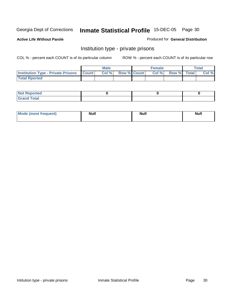**Active Life Without Parole** 

Produced for **General Distribution**

## Institution type - private prisons

|                                                     | <b>Male</b> |                    | <b>Female</b> |             | <b>Total</b> |
|-----------------------------------------------------|-------------|--------------------|---------------|-------------|--------------|
| <b>Institution Type - Private Prisons   Count  </b> | CoI%        | <b>Row % Count</b> | Col %         | Row % Total | Col %        |
| <b>Total Rported</b>                                |             |                    |               |             |              |

| <b>Not Reported</b>               |  |  |
|-----------------------------------|--|--|
| <b>Total</b><br>$C$ rar<br>$\sim$ |  |  |

| Mode (most frequent) | <b>Null</b> | <b>Null</b> | Null |
|----------------------|-------------|-------------|------|
|                      |             |             |      |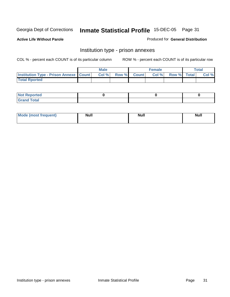**Active Life Without Parole** 

Produced for **General Distribution**

#### Institution type - prison annexes

|                                                   | <b>Male</b> |             | <b>Female</b> |             | <b>Total</b> |
|---------------------------------------------------|-------------|-------------|---------------|-------------|--------------|
| <b>Institution Type - Prison Annexe   Count  </b> | Col %       | Row % Count | Col%          | Row % Total | Col %        |
| <b>Total Rported</b>                              |             |             |               |             |              |

| $N$ nt R<br>Reported         |  |  |
|------------------------------|--|--|
| <b>Total</b><br><b>Grano</b> |  |  |

| Mode (most frequent) | <b>Null</b> | <b>Null</b> | <b>Null</b> |
|----------------------|-------------|-------------|-------------|
|                      |             |             |             |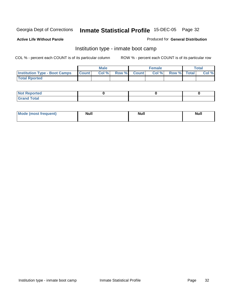**Active Life Without Parole** 

#### Produced for **General Distribution**

## Institution type - inmate boot camp

|                                      |              | <b>Male</b> |              |           | <b>Female</b> |             | Total |
|--------------------------------------|--------------|-------------|--------------|-----------|---------------|-------------|-------|
| <b>Institution Type - Boot Camps</b> | <b>Count</b> | Col %       | <b>Row %</b> | – Count I | Col %         | Row % Total | Col % |
| <b>Total Rported</b>                 |              |             |              |           |               |             |       |

| <b>Not Reported</b> |  |  |
|---------------------|--|--|
| $f$ ota'<br>C<br>.  |  |  |

| <b>Mode (most frequent)</b> | <b>Null</b> | <b>Null</b> | <b>Null</b> |
|-----------------------------|-------------|-------------|-------------|
|                             |             |             |             |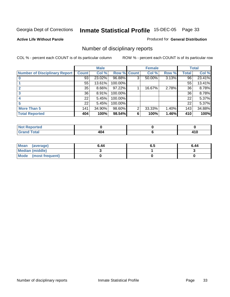#### **Active Life Without Parole**

#### Produced for **General Distribution**

## Number of disciplinary reports

|                                      |              | <b>Male</b> |             |   | <b>Female</b> |       |       | <b>Total</b> |
|--------------------------------------|--------------|-------------|-------------|---|---------------|-------|-------|--------------|
| <b>Number of Disciplinary Report</b> | <b>Count</b> | Col %       | Row % Count |   | Col %         | Row % | Total | Col %        |
|                                      | 93           | 23.02%      | 96.88%      | 3 | 50.00%        | 3.13% | 96    | 23.41%       |
|                                      | 55           | 13.61%      | 100.00%     |   |               |       | 55    | 13.41%       |
|                                      | 35           | 8.66%       | 97.22%      |   | 16.67%        | 2.78% | 36    | 8.78%        |
| 3                                    | 36           | 8.91%       | 100.00%     |   |               |       | 36    | 8.78%        |
|                                      | 22           | 5.45%       | 100.00%     |   |               |       | 22    | 5.37%        |
| 5                                    | 22           | 5.45%       | 100.00%     |   |               |       | 22    | 5.37%        |
| <b>More Than 5</b>                   | 141          | 34.90%      | 98.60%      | 2 | 33.33%        | 1.40% | 143   | 34.88%       |
| <b>Total Reported</b>                | 404          | 100%        | 98.54%      | 6 | 100%          | 1.46% | 410   | 100%         |

| тео<br>N                                              |                 |     |
|-------------------------------------------------------|-----------------|-----|
| $int^{\bullet}$<br>$\sim$ $\sim$ $\sim$ $\sim$ $\sim$ | "<br>. .<br>דטד | . . |

| Mean (average)       | 6.44 | o.a | 6.44 |
|----------------------|------|-----|------|
| Median (middle)      |      |     |      |
| Mode (most frequent) |      |     |      |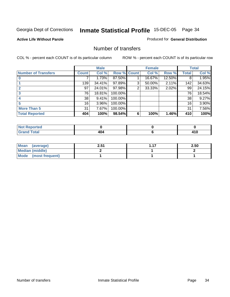#### **Active Life Without Parole**

#### Produced for **General Distribution**

#### Number of transfers

|                            |        | <b>Male</b> |             |                | <b>Female</b> |        |              | <b>Total</b> |
|----------------------------|--------|-------------|-------------|----------------|---------------|--------|--------------|--------------|
| <b>Number of Transfers</b> | Count! | Col %       | Row % Count |                | Col %         | Row %  | <b>Total</b> | Col %        |
|                            |        | 1.73%       | 87.50%      |                | 16.67%        | 12.50% | 8            | 1.95%        |
|                            | 139    | 34.41%      | 97.89%      | 3              | 50.00%        | 2.11%  | 142          | 34.63%       |
|                            | 97     | 24.01%      | 97.98%      | $\overline{2}$ | 33.33%        | 2.02%  | 99           | 24.15%       |
|                            | 76     | 18.81%      | 100.00%     |                |               |        | 76           | 18.54%       |
|                            | 38     | 9.41%       | 100.00%     |                |               |        | 38           | 9.27%        |
|                            | 16     | 3.96%       | 100.00%     |                |               |        | 16           | 3.90%        |
| <b>More Than 5</b>         | 31     | 7.67%       | 100.00%     |                |               |        | 31           | 7.56%        |
| <b>Total Reported</b>      | 404    | 100%        | 98.54%      | 6              | 100%          | 1.46%  | 410          | 100%         |

| .<br>тес<br>N |     |        |
|---------------|-----|--------|
| $\sim$        | - - | 7 I V  |
|               |     | $\sim$ |

| Mean (average)       | 2.51 | 2.50 |
|----------------------|------|------|
| Median (middle)      |      |      |
| Mode (most frequent) |      |      |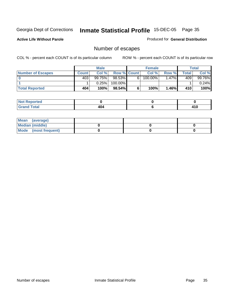#### **Active Life Without Parole**

Produced for **General Distribution**

## Number of escapes

|                          |              | <b>Male</b> |                    |   | <b>Female</b>         |       |       | Total  |
|--------------------------|--------------|-------------|--------------------|---|-----------------------|-------|-------|--------|
| <b>Number of Escapes</b> | <b>Count</b> | Col %       | <b>Row % Count</b> |   | Col %                 | Row % | Total | Col %  |
|                          | 403          | 99.75%      | 98.53%             | 6 | $100.\overline{00\%}$ | 1.47% | 409   | 99.76% |
|                          |              | 0.25%       | 100.00%            |   |                       |       |       | 0.24%  |
| <b>Total Reported</b>    | 404          | 100%        | 98.54%             |   | 100%                  | 1.46% | 410   | 100%   |

| <b>rted</b>        |                           |       |
|--------------------|---------------------------|-------|
| <b>Total</b>       | $\mathbf{A}$ $\mathbf{A}$ | 44 N  |
| $-1$ . $-1$ . $-1$ | דטד                       | 4 I V |

| Mean (average)       |  |  |
|----------------------|--|--|
| Median (middle)      |  |  |
| Mode (most frequent) |  |  |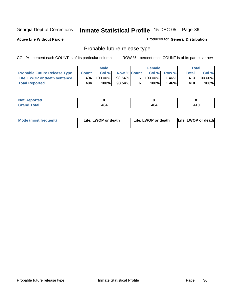**Active Life Without Parole** 

Produced for **General Distribution**

## Probable future release type

|                                     |              | <b>Male</b> |                    |   | <b>Female</b> |                     | Total        |         |
|-------------------------------------|--------------|-------------|--------------------|---|---------------|---------------------|--------------|---------|
| <b>Probable Future Release Type</b> | <b>Count</b> | Col %       | <b>Row % Count</b> |   | Col %         | Row %               | <b>Total</b> | Col %   |
| Life, LWOP or death sentence        | 404          | $100.00\%$  | 98.54%             | 6 | $100.00\%$    | .46% $\blacksquare$ | 410          | 100.00% |
| <b>Total Reported</b>               | 404          | 100%        | 98.54%             | 6 | $100\%$       | $1.46\%$            | 410          | $100\%$ |

| <b>rted</b>           |     |     |               |
|-----------------------|-----|-----|---------------|
| <b>otal</b><br>------ | 404 | 404 | 44 C<br>. I V |

| <b>Mode (most frequent)</b> | Life, LWOP or death | Life, LWOP or death | Life, LWOP or death |
|-----------------------------|---------------------|---------------------|---------------------|
|-----------------------------|---------------------|---------------------|---------------------|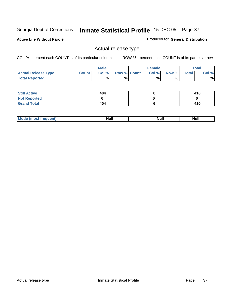**Active Life Without Parole** 

Produced for **General Distribution**

## Actual release type

|                            |        | <b>Male</b> |                    | <b>Female</b> |       |              | Total |
|----------------------------|--------|-------------|--------------------|---------------|-------|--------------|-------|
| <b>Actual Release Type</b> | Count. | Col %       | <b>Row % Count</b> | Col %         | Row % | <b>Total</b> | Col % |
| <b>Total Reported</b>      |        | %           | %                  | %             | %     |              | %     |

| <b>Still Active</b> | 404 | 410 |
|---------------------|-----|-----|
| <b>Not Reported</b> |     |     |
| <b>Grand Total</b>  | 404 | 410 |

| M | 14H | <b>IVUII</b> | 11WH |
|---|-----|--------------|------|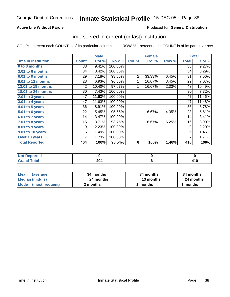### **Active Life Without Parole**

#### Produced for **General Distribution**

### Time served in current (or last) institution

|                            |              | <b>Male</b> |         |                | <b>Female</b> |       |                 | <b>Total</b> |
|----------------------------|--------------|-------------|---------|----------------|---------------|-------|-----------------|--------------|
| <b>Time In Institution</b> | <b>Count</b> | Col %       | Row %   | <b>Count</b>   | Col %         | Row % | <b>Total</b>    | Col %        |
| 0 to 3 months              | 38           | 9.41%       | 100.00% |                |               |       | $\overline{38}$ | 9.27%        |
| 3.01 to 6 months           | 34           | 8.42%       | 100.00% |                |               |       | 34              | 8.29%        |
| 6.01 to 9 months           | 29           | 7.18%       | 93.55%  | $\overline{2}$ | 33.33%        | 6.45% | 31              | 7.56%        |
| 9.01 to 12 months          | 28           | 6.93%       | 96.55%  | 1              | 16.67%        | 3.45% | 29              | 7.07%        |
| 12.01 to 18 months         | 42           | 10.40%      | 97.67%  | 1              | 16.67%        | 2.33% | 43              | 10.49%       |
| 18.01 to 24 months         | 30           | 7.43%       | 100.00% |                |               |       | 30              | 7.32%        |
| 2.01 to 3 years            | 47           | 11.63%      | 100.00% |                |               |       | 47              | 11.46%       |
| 3.01 to 4 years            | 47           | 11.63%      | 100.00% |                |               |       | 47              | 11.46%       |
| 4.01 to 5 years            | 36           | 8.91%       | 100.00% |                |               |       | 36              | 8.78%        |
| 5.01 to 6 years            | 22           | 5.45%       | 95.65%  | 1              | 16.67%        | 4.35% | 23              | 5.61%        |
| 6.01 to 7 years            | 14           | 3.47%       | 100.00% |                |               |       | 14              | 3.41%        |
| 7.01 to 8 years            | 15           | 3.71%       | 93.75%  | 1              | 16.67%        | 6.25% | 16              | 3.90%        |
| 8.01 to 9 years            | 9            | 2.23%       | 100.00% |                |               |       | 9               | 2.20%        |
| 9.01 to 10 years           | 6            | 1.49%       | 100.00% |                |               |       | 6               | 1.46%        |
| Over 10 years              | 7            | 1.73%       | 100.00% |                |               |       | 7               | 1.71%        |
| <b>Total Reported</b>      | 404          | 100%        | 98.54%  | 6              | 100%          | 1.46% | 410             | 100%         |

| <b>Not Reported</b> |     |               |
|---------------------|-----|---------------|
| Total               | 404 | 14 F<br>- 1 6 |

| <b>Mean</b><br>(average) | 34 months | 34 months | 34 months |
|--------------------------|-----------|-----------|-----------|
| Median (middle)          | 24 months | 13 months | 24 months |
| Mode (most frequent)     | 2 months  | l months  | 1 months  |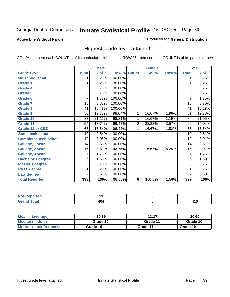#### **Active Life Without Parole**

#### Produced for **General Distribution**

### Highest grade level attained

|                              |                 | <b>Male</b> |                    |                | <b>Female</b> |       |                 | <b>Total</b> |
|------------------------------|-----------------|-------------|--------------------|----------------|---------------|-------|-----------------|--------------|
| <b>Grade Level</b>           | <b>Count</b>    | Col %       | <b>Row % Count</b> |                | Col %         | Row % | <b>Total</b>    | Col %        |
| No school at all             | 1               | 0.25%       | 100.00%            |                |               |       | 1               | 0.25%        |
| <b>Grade 1</b>               | 1               | 0.25%       | 100.00%            |                |               |       | 1               | 0.25%        |
| <b>Grade 4</b>               | 3               | 0.76%       | 100.00%            |                |               |       | 3               | 0.75%        |
| Grade 5                      | 3               | 0.76%       | 100.00%            |                |               |       | 3               | 0.75%        |
| Grade 6                      | 7               | 1.78%       | 100.00%            |                |               |       | $\overline{7}$  | 1.75%        |
| <b>Grade 7</b>               | $\overline{15}$ | 3.82%       | 100.00%            |                |               |       | $\overline{15}$ | 3.76%        |
| <b>Grade 8</b>               | 41              | 10.43%      | 100.00%            |                |               |       | 41              | 10.28%       |
| Grade 9                      | 50              | 12.72%      | 98.04%             | 1              | 16.67%        | 1.96% | 51              | 12.78%       |
| Grade 10                     | 83              | 21.12%      | 98.81%             | 1              | 16.67%        | 1.19% | 84              | 21.05%       |
| Grade 11                     | 54              | 13.74%      | 96.43%             | $\overline{2}$ | 33.33%        | 3.57% | 56              | 14.04%       |
| <b>Grade 12 or GED</b>       | 65              | 16.54%      | 98.48%             | 1              | 16.67%        | 1.52% | 66              | 16.54%       |
| <b>Some tech school</b>      | 10              | 2.54%       | 100.00%            |                |               |       | 10              | 2.51%        |
| <b>Completed tech school</b> | 12              | 3.05%       | 100.00%            |                |               |       | 12              | 3.01%        |
| College, 1 year              | 14              | 3.56%       | 100.00%            |                |               |       | 14              | 3.51%        |
| College, 2 year              | 15              | 3.82%       | 93.75%             | 1              | 16.67%        | 6.25% | 16              | 4.01%        |
| College, 3 year              | 7               | 1.78%       | 100.00%            |                |               |       | 7               | 1.75%        |
| <b>Bachelor's degree</b>     | 6               | 1.53%       | 100.00%            |                |               |       | $\overline{6}$  | 1.50%        |
| <b>Master's degree</b>       | 3               | 0.76%       | 100.00%            |                |               |       | 3               | 0.75%        |
| Ph.D. degree                 | 1               | 0.25%       | 100.00%            |                |               |       | 1               | 0.25%        |
| Law degree                   | 2               | 0.51%       | 100.00%            |                |               |       | $\overline{2}$  | 0.50%        |
| <b>Total Reported</b>        | 393             | 100%        | 98.50%             | 6              | 100.0%        | 1.50% | 399             | 100%         |

| <b>Not Reported</b>                  |     |               |
|--------------------------------------|-----|---------------|
| <b>Total</b><br><b>Grar</b><br>Grand | 404 | 44 C<br>$+10$ |

| <b>Mean</b><br>(average) | 10.59    | 11.17    | 10.60    |
|--------------------------|----------|----------|----------|
| Median (middle)          | Grade 10 | Grade 11 | Grade 10 |
| Mode<br>(most frequent)  | Grade 10 | Grade 11 | Grade 10 |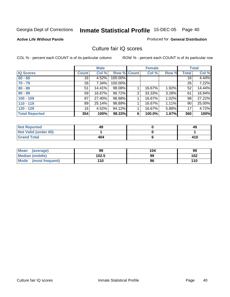#### **Active Life Without Parole**

#### Produced for **General Distribution**

### Culture fair IQ scores

|                       |                 | <b>Male</b> |             |                | <b>Female</b> |       |                 | <b>Total</b> |
|-----------------------|-----------------|-------------|-------------|----------------|---------------|-------|-----------------|--------------|
| <b>IQ Scores</b>      | <b>Count</b>    | Col %       | Row % Count |                | Col %         | Row % | Total           | Col %        |
| $60 - 69$             | 16              | 4.52%       | 100.00%     |                |               |       | 16 <sup>1</sup> | 4.44%        |
| $70 - 79$             | 26 <sup>1</sup> | 7.34%       | 100.00%     |                |               |       | 26              | 7.22%        |
| $80 - 89$             | 51              | 14.41%      | 98.08%      |                | 16.67%        | 1.92% | 52              | 14.44%       |
| $90 - 99$             | 59              | 16.67%      | 96.72%      | $\overline{2}$ | 33.33%        | 3.28% | 61              | 16.94%       |
| $100 - 109$           | 97              | 27.40%      | 98.98%      |                | 16.67%        | 1.02% | 98              | 27.22%       |
| $110 - 119$           | 89              | 25.14%      | 98.89%      |                | 16.67%        | 1.11% | 90              | 25.00%       |
| $120 - 129$           | 16              | 4.52%       | 94.12%      |                | 16.67%        | 5.88% | 17              | 4.72%        |
| <b>Total Reported</b> | 354             | 100%        | 98.33%      | 6              | 100.0%        | 1.67% | 360             | 100%         |

| <b>Not Reported</b>         | 49  | 49  |
|-----------------------------|-----|-----|
| <b>Not Valid (under 60)</b> |     |     |
| <b>Grand Total</b>          | 404 | 410 |

| Mean (average)         | 99    | 104 | 99  |
|------------------------|-------|-----|-----|
| <b>Median (middle)</b> | 102.5 | 99  | 102 |
| Mode (most frequent)   | 110   | 96  | 110 |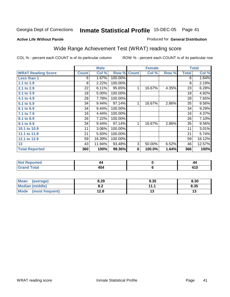#### **Active Life Without Parole**

#### Produced for **General Distribution**

# Wide Range Achievement Test (WRAT) reading score

COL % - percent each COUNT is of its particular column ROW % - percent each COUNT is of its particular row

 **6**

|                           |              | <b>Male</b> |         |                | <b>Female</b> |       |              | <b>Total</b> |
|---------------------------|--------------|-------------|---------|----------------|---------------|-------|--------------|--------------|
| <b>WRAT Reading Score</b> | <b>Count</b> | Col %       | Row %   | <b>Count</b>   | Col %         | Row % | <b>Total</b> | Col %        |
| Less than 1               | 6            | 1.67%       | 100.00% |                |               |       | 6            | 1.64%        |
| 1.1 to 1.9                | 8            | 2.22%       | 100.00% |                |               |       | 8            | 2.19%        |
| 2.1 to 2.9                | 22           | 6.11%       | 95.65%  | 1              | 16.67%        | 4.35% | 23           | 6.28%        |
| 3.1 to 3.9                | 18           | 5.00%       | 100.00% |                |               |       | 18           | 4.92%        |
| 4.1 to 4.9                | 28           | 7.78%       | 100.00% |                |               |       | 28           | 7.65%        |
| 5.1 to 5.9                | 34           | 9.44%       | 97.14%  | 1              | 16.67%        | 2.86% | 35           | $9.56\%$     |
| 6.1 to 6.9                | 34           | 9.44%       | 100.00% |                |               |       | 34           | 9.29%        |
| 7.1 to 7.9                | 16           | 4.44%       | 100.00% |                |               |       | 16           | 4.37%        |
| 8.1 to 8.9                | 26           | 7.22%       | 100.00% |                |               |       | 26           | 7.10%        |
| 9.1 to 9.9                | 34           | 9.44%       | 97.14%  | $\mathbf{1}$   | 16.67%        | 2.86% | 35           | $9.56\%$     |
| 10.1 to 10.9              | 11           | 3.06%       | 100.00% |                |               |       | 11           | 3.01%        |
| 11.1 to 11.9              | 21           | 5.83%       | 100.00% |                |               |       | 21           | 5.74%        |
| 12.1 to 12.9              | 59           | 16.39%      | 100.00% |                |               |       | 59           | 16.12%       |
| 13                        | 43           | 11.94%      | 93.48%  | $\overline{3}$ | 50.00%        | 6.52% | 46           | 12.57%       |
| <b>Total Reported</b>     | 360          | 100%        | 98.36%  | 6              | 100.0%        | 1.64% | 366          | 100%         |
|                           |              |             |         |                |               |       |              |              |
| <b>Not Reported</b>       |              | 44          |         |                | $\mathbf 0$   |       |              | 44           |

| <b>Mean</b><br>(average) | 8.29      | 9.35 | 8.30 |
|--------------------------|-----------|------|------|
| Median (middle)          | ററ<br>o.z | 11.1 | 8.35 |
| Mode (most frequent)     | 12.8      | IJ   |      |

 **404**

 **Grand Total**

 **410**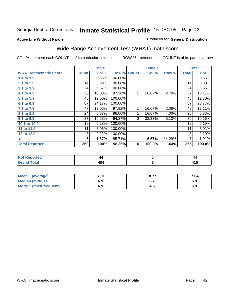#### **Active Life Without Parole**

#### Produced for **General Distribution**

# Wide Range Achievement Test (WRAT) math score

|                              |                       | <b>Male</b> |         |              | <b>Female</b> |          |              | <b>Total</b> |
|------------------------------|-----------------------|-------------|---------|--------------|---------------|----------|--------------|--------------|
| <b>WRAT Mathematic Score</b> | <b>Count</b>          | Col %       | Row %   | <b>Count</b> | Col %         | Row %    | <b>Total</b> | Col %        |
| 1.1 to 1.9                   | $\mathbf{2}^{\prime}$ | 0.56%       | 100.00% |              |               |          | 2            | 0.55%        |
| 2.1 to 2.9                   | 14                    | 3.89%       | 100.00% |              |               |          | 14           | 3.83%        |
| 3.1 to 3.9                   | 24                    | 6.67%       | 100.00% |              |               |          | 24           | 6.56%        |
| 4.1 to 4.9                   | 36                    | 10.00%      | 97.30%  | 1            | 16.67%        | 2.70%    | 37           | 10.11%       |
| 5.1 to 5.9                   | 45                    | 12.50%      | 100.00% |              |               |          | 45           | 12.30%       |
| 6.1 to 6.9                   | 87                    | 24.17%      | 100.00% |              |               |          | 87           | 23.77%       |
| 7.1 to 7.9                   | 47                    | 13.06%      | 97.92%  |              | 16.67%        | 2.08%    | 48           | 13.11%       |
| 8.1 to 8.9                   | 24                    | 6.67%       | 96.00%  | 1            | 16.67%        | $4.00\%$ | 25           | 6.83%        |
| 9.1 to 9.9                   | 37                    | 10.28%      | 94.87%  | 2            | 33.33%        | 5.13%    | 39           | 10.66%       |
| 10.1 to 10.9                 | 19                    | 5.28%       | 100.00% |              |               |          | 19           | 5.19%        |
| 11 to 11.9                   | 11                    | 3.06%       | 100.00% |              |               |          | 11           | 3.01%        |
| 12 to 12.9                   | 8                     | 2.22%       | 100.00% |              |               |          | 8            | 2.19%        |
| 13                           | 6                     | 1.67%       | 85.71%  |              | 16.67%        | 14.29%   | 7            | 1.91%        |
| <b>Total Reported</b>        | 360                   | 100%        | 98.36%  | 6            | 100.0%        | 1.64%    | 366          | 100.0%       |

| metol                   | 44                | 44  |
|-------------------------|-------------------|-----|
| υιαι<br>$- \cdot \cdot$ | 40.<br>. .<br>TV. | . . |

| <b>Mean</b><br>(average) | 7.01 | 0.77<br>O.1 | 7.04 |
|--------------------------|------|-------------|------|
| <b>Median (middle)</b>   | 6.9  | O.1         | 6.9  |
| Mode<br>(most frequent)  | 6.9  | 4.C         | 6.9  |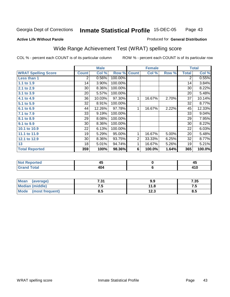#### **Active Life Without Parole**

#### Produced for **General Distribution**

# Wide Range Achievement Test (WRAT) spelling score

|                            |              | <b>Male</b> |                    |   | <b>Female</b> |       |                | <b>Total</b> |
|----------------------------|--------------|-------------|--------------------|---|---------------|-------|----------------|--------------|
| <b>WRAT Spelling Score</b> | <b>Count</b> | Col %       | <b>Row % Count</b> |   | Col %         | Row % | <b>Total</b>   | Col %        |
| Less than 1                | 2            | 0.56%       | 100.00%            |   |               |       | $\overline{2}$ | 0.55%        |
| 1.1 to 1.9                 | 14           | 3.90%       | 100.00%            |   |               |       | 14             | 3.84%        |
| 2.1 to 2.9                 | 30           | 8.36%       | 100.00%            |   |               |       | 30             | 8.22%        |
| 3.1 to 3.9                 | 20           | 5.57%       | 100.00%            |   |               |       | 20             | 5.48%        |
| 4.1 to 4.9                 | 36           | 10.03%      | 97.30%             | 1 | 16.67%        | 2.70% | 37             | 10.14%       |
| 5.1 to 5.9                 | 32           | 8.91%       | 100.00%            |   |               |       | 32             | 8.77%        |
| 6.1 to 6.9                 | 44           | 12.26%      | 97.78%             | 1 | 16.67%        | 2.22% | 45             | 12.33%       |
| 7.1 to 7.9                 | 33           | 9.19%       | 100.00%            |   |               |       | 33             | 9.04%        |
| 8.1 to 8.9                 | 29           | 8.08%       | 100.00%            |   |               |       | 29             | 7.95%        |
| 9.1 to 9.9                 | 30           | 8.36%       | 100.00%            |   |               |       | 30             | 8.22%        |
| 10.1 to 10.9               | 22           | 6.13%       | 100.00%            |   |               |       | 22             | 6.03%        |
| 11.1 to 11.9               | 19           | 5.29%       | 95.00%             | 1 | 16.67%        | 5.00% | 20             | 5.48%        |
| 12.1 to 12.9               | 30           | 8.36%       | 93.75%             | 2 | 33.33%        | 6.25% | 32             | 8.77%        |
| 13                         | 18           | 5.01%       | 94.74%             | 1 | 16.67%        | 5.26% | 19             | 5.21%        |
| <b>Total Reported</b>      | 359          | 100%        | 98.36%             | 6 | 100.0%        | 1.64% | 365            | 100.0%       |
|                            |              |             |                    |   |               |       |                |              |
| <b>Not Reported</b>        |              | 45          |                    |   | $\pmb{0}$     |       |                | 45           |
| <b>Grand Total</b>         |              | 404         |                    |   | 6             |       |                | 410          |

| <b>Mean</b><br>(average) | フつく<br>ו כ. | 9.9  | 7.35 |
|--------------------------|-------------|------|------|
| <b>Median (middle)</b>   | ن. ا        | 11.8 | ن. ا |
| Mode<br>(most frequent)  | ၓ.๖         | 12.3 | 8.5  |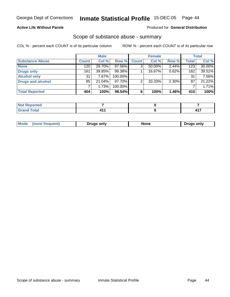### **Active Life Without Parole**

#### Produced for **General Distribution**

### Scope of substance abuse - summary

|                          |              | <b>Male</b> |         |              | <b>Female</b> |       |              | <b>Total</b> |
|--------------------------|--------------|-------------|---------|--------------|---------------|-------|--------------|--------------|
| <b>Substance Abuse</b>   | <b>Count</b> | Col %       | Row %   | <b>Count</b> | Col %         | Row % | <b>Total</b> | Col %        |
| <b>None</b>              | 120          | 29.70%      | 97.56%  |              | $50.00\%$     | 2.44% | 123          | 30.00%       |
| <b>Drugs only</b>        | 161          | 39.85%      | 99.38%  |              | 16.67%        | 0.62% | 162          | 39.51%       |
| <b>Alcohol only</b>      | 31           | 7.67%       | 100.00% |              |               |       | 31           | 7.56%        |
| <b>Drugs and alcohol</b> | 85           | 21.04%      | 97.70%  | ົ            | 33.33%        | 2.30% | 87           | 21.22%       |
|                          |              | 1.73%       | 100.00% |              |               |       |              | 1.71%        |
| <b>Total Reported</b>    | 404          | 100%        | 98.54%  |              | 100%          | 1.46% | 410          | 100%         |

| eported                   |  |          |
|---------------------------|--|----------|
| <b>Total</b><br><b>C.</b> |  | 447<br>. |

|  | Mode<br>. | Druas onlv<br>ם ור | None | only<br>Jruas |
|--|-----------|--------------------|------|---------------|
|--|-----------|--------------------|------|---------------|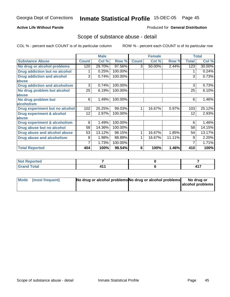#### **Active Life Without Parole**

#### Produced for **General Distribution**

### Scope of substance abuse - detail

|                                         |              | <b>Male</b> |         |              | <b>Female</b> |        |              | <b>Total</b> |
|-----------------------------------------|--------------|-------------|---------|--------------|---------------|--------|--------------|--------------|
| <b>Substance Abuse</b>                  | <b>Count</b> | Col %       | Row %   | <b>Count</b> | Col %         | Row %  | <b>Total</b> | Col %        |
| No drug or alcohol problems             | 120          | 29.70%      | 97.56%  | 3            | 50.00%        | 2.44%  | 123          | 30.00%       |
| Drug addiction but no alcohol           |              | 0.25%       | 100.00% |              |               |        |              | 0.24%        |
| <b>Drug addiction and alcohol</b>       | 3            | 0.74%       | 100.00% |              |               |        | 3            | 0.73%        |
| abuse                                   |              |             |         |              |               |        |              |              |
| <b>Drug addiction and alcoholism</b>    | 3            | 0.74%       | 100.00% |              |               |        | 3            | 0.73%        |
| No drug problem but alcohol             | 25           | 6.19%       | 100.00% |              |               |        | 25           | 6.10%        |
| <b>labuse</b>                           |              |             |         |              |               |        |              |              |
| No drug problem but                     | 6            | 1.49%       | 100.00% |              |               |        | 6            | 1.46%        |
| alcoholism                              |              |             |         |              |               |        |              |              |
| Drug experiment but no alcohol          | 102          | 25.25%      | 99.03%  |              | 16.67%        | 0.97%  | 103          | 25.12%       |
| <b>Drug experiment &amp; alcohol</b>    | 12           | 2.97%       | 100.00% |              |               |        | 12           | 2.93%        |
| abuse                                   |              |             |         |              |               |        |              |              |
| <b>Drug experiment &amp; alcoholism</b> | 6            | 1.49%       | 100.00% |              |               |        | 6            | 1.46%        |
| Drug abuse but no alcohol               | 58           | 14.36%      | 100.00% |              |               |        | 58           | 14.15%       |
| Drug abuse and alcohol abuse            | 53           | 13.12%      | 98.15%  |              | 16.67%        | 1.85%  | 54           | 13.17%       |
| Drug abuse and alcoholism               | 8            | 1.98%       | 88.89%  |              | 16.67%        | 11.11% | 9            | 2.20%        |
|                                         |              | 1.73%       | 100.00% |              |               |        |              | 1.71%        |
| <b>Total Reported</b>                   | 404          | 100%        | 98.54%  | 6            | 100%          | 1.46%  | 410          | 100%         |

| <b>Not Reported</b>         |  |   |
|-----------------------------|--|---|
| <b>Total</b><br><b>Grar</b> |  | . |

| Mode (most frequent) | No drug or alcohol problems No drug or alcohol problems | No drug or       |
|----------------------|---------------------------------------------------------|------------------|
|                      |                                                         | alcohol problems |
|                      |                                                         |                  |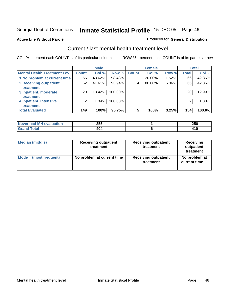#### **Active Life Without Parole**

#### Produced for **General Distribution**

### Current / last mental health treatment level

|                                    |                 | <b>Male</b> |         |                 | <b>Female</b> |       |              | <b>Total</b> |
|------------------------------------|-----------------|-------------|---------|-----------------|---------------|-------|--------------|--------------|
| <b>Mental Health Treatment Lev</b> | <b>Count</b>    | Col %       | Row %   | Count           | Col %         | Row % | <b>Total</b> | Col %        |
| 1 No problem at current time       | 65              | 43.62%      | 98.48%  |                 | 20.00%        | 1.52% | 66           | 42.86%       |
| 2 Receiving outpatient             | 62              | 41.61%      | 93.94%  | 4               | 80.00%        | 6.06% | 66           | 42.86%       |
| treatment                          |                 |             |         |                 |               |       |              |              |
| 3 Inpatient, moderate              | 20 <sub>1</sub> | 13.42%      | 100.00% |                 |               |       | 20           | 12.99%       |
| treatment                          |                 |             |         |                 |               |       |              |              |
| 4 Inpatient, intensive             | 2               | 1.34%       | 100.00% |                 |               |       | 2            | $1.30\%$     |
| treatment                          |                 |             |         |                 |               |       |              |              |
| <b>Total Evaluated</b>             | 149             | 100%        | 96.75%  | $5\phantom{.0}$ | 100%          | 3.25% | 154          | 100.0%       |

| Never had MH evaluation | 255 | 256         |
|-------------------------|-----|-------------|
| <b>Total</b>            | 404 | 44 C<br>tiv |

| <b>Median (middle)</b> | <b>Receiving outpatient</b><br>treatment | <b>Receiving outpatient</b><br>treatment | <b>Receiving</b><br>outpatient<br>treatment |  |
|------------------------|------------------------------------------|------------------------------------------|---------------------------------------------|--|
| <b>Mode</b>            | No problem at current time               | <b>Receiving outpatient</b>              | No problem at                               |  |
| (most frequent)        |                                          | treatment                                | current time                                |  |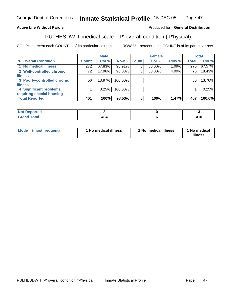### **Active Life Without Parole**

#### Produced for **General Distribution**

# PULHESDWIT medical scale - 'P' overall condition ('P'hysical)

|                             |                 | <b>Male</b> |         |             | <b>Female</b> |          |                 | <b>Total</b> |
|-----------------------------|-----------------|-------------|---------|-------------|---------------|----------|-----------------|--------------|
| 'P' Overall Condition       | <b>Count</b>    | Col %       |         | Row % Count | Col %         | Row %    | <b>Total</b>    | Col %        |
| 1 No medical illness        | 272             | 67.83%      | 98.91%  | ົ           | 50.00%        | $1.09\%$ | 275             | 67.57%       |
| 2 Well-controlled chronic   | 72 <sub>1</sub> | 17.96%      | 96.00%  | 3           | 50.00%        | 4.00%    | 75 <sub>1</sub> | 18.43%       |
| <b>illness</b>              |                 |             |         |             |               |          |                 |              |
| 3 Poorly-controlled chronic | 56              | $13.97\%$   | 100.00% |             |               |          | 56              | 13.76%       |
| <b>illness</b>              |                 |             |         |             |               |          |                 |              |
| 4 Significant problems      |                 | 0.25%       | 100.00% |             |               |          |                 | 0.25%        |
| requiring special housing   |                 |             |         |             |               |          |                 |              |
| <b>Total Reported</b>       | 401             | 100%        | 98.53%  | 6           | 100%          | 1.47%    | 407             | 100.0%       |

| .<br>'Not<br><b>Reported</b> |     |                |
|------------------------------|-----|----------------|
| $\mathsf{Total}$<br>---      | 4V4 | - - -<br>4 I V |

| Mode | (most frequent) | 1 No medical illness | <sup>1</sup> No medical illness | 1 No medical<br>illness |
|------|-----------------|----------------------|---------------------------------|-------------------------|
|------|-----------------|----------------------|---------------------------------|-------------------------|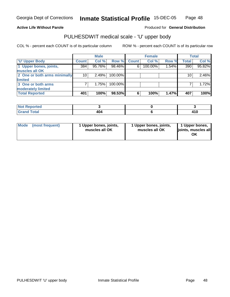#### **Active Life Without Parole**

Produced for **General Distribution**

### PULHESDWIT medical scale - 'U' upper body

|                              |              | <b>Male</b> |         |              | <b>Female</b> |       |              | <b>Total</b> |
|------------------------------|--------------|-------------|---------|--------------|---------------|-------|--------------|--------------|
| <b>U' Upper Body</b>         | <b>Count</b> | Col %       | Row %   | <b>Count</b> | Col %         | Row % | <b>Total</b> | Col %        |
| 1 Upper bones, joints,       | 384          | 95.76%      | 98.46%  | 6            | 100.00%       | 1.54% | 390          | 95.82%       |
| muscles all OK               |              |             |         |              |               |       |              |              |
| 2 One or both arms minimally | 10           | 2.49%       | 100.00% |              |               |       | 10           | 2.46%        |
| limited                      |              |             |         |              |               |       |              |              |
| 3 One or both arms           |              | 1.75%       | 100.00% |              |               |       |              | 1.72%        |
| moderately limited           |              |             |         |              |               |       |              |              |
| <b>Total Reported</b>        | 401          | 100%        | 98.53%  | 6            | 100%          | 1.47% | 407          | 100%         |

| <b>Not Reported</b> |     |  |
|---------------------|-----|--|
|                     | 104 |  |

| Mode | (most frequent) | 1 Upper bones, joints,<br>muscles all OK | 1 Upper bones, joints,<br>muscles all OK | 1 Upper bones,<br>joints, muscles all<br>ΟK |
|------|-----------------|------------------------------------------|------------------------------------------|---------------------------------------------|
|------|-----------------|------------------------------------------|------------------------------------------|---------------------------------------------|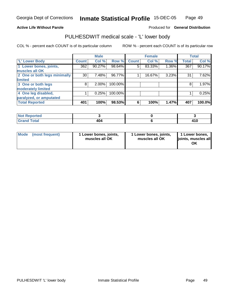#### **Active Life Without Parole**

#### Produced for **General Distribution**

### PULHESDWIT medical scale - 'L' lower body

|                              |                    | <b>Male</b> |         |              | <b>Female</b> |       |              | <b>Total</b> |
|------------------------------|--------------------|-------------|---------|--------------|---------------|-------|--------------|--------------|
| 'L' Lower Body               | Count <sup>'</sup> | Col %       | Row %   | <b>Count</b> | Col %         | Row % | <b>Total</b> | Col %        |
| 1 Lower bones, joints,       | 362                | 90.27%      | 98.64%  | 5            | 83.33%        | 1.36% | 367          | 90.17%       |
| muscles all OK               |                    |             |         |              |               |       |              |              |
| 2 One or both legs minimally | 30                 | 7.48%       | 96.77%  |              | 16.67%        | 3.23% | 31           | 7.62%        |
| limited                      |                    |             |         |              |               |       |              |              |
| 3 One or both legs           | 8                  | 2.00%       | 100.00% |              |               |       | 8            | 1.97%        |
| moderately limited           |                    |             |         |              |               |       |              |              |
| 4 One leg disabled,          |                    | 0.25%       | 100.00% |              |               |       |              | 0.25%        |
| paralyzed, or amputated      |                    |             |         |              |               |       |              |              |
| <b>Total Reported</b>        | 401                | 100%        | 98.53%  | 6            | 100%          | 1.47% | 407          | 100.0%       |

| N <sub>of</sub><br>$\lceil \cdot \rceil$ rted |               |       |
|-----------------------------------------------|---------------|-------|
| <b>Grand Total</b>                            | $\sim$ $\sim$ | 14 O  |
| $\sim$ $\sim$                                 | 404           | 4 I V |

| l Mode | (most frequent) | 1 Lower bones, joints,<br>muscles all OK | 1 Lower bones, joints,<br>muscles all OK | 1 Lower bones,<br>joints, muscles all<br>ΟK |
|--------|-----------------|------------------------------------------|------------------------------------------|---------------------------------------------|
|--------|-----------------|------------------------------------------|------------------------------------------|---------------------------------------------|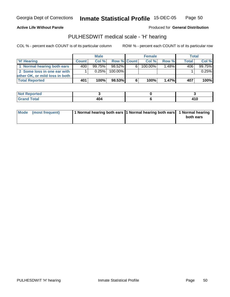**Active Life Without Parole** 

Produced for **General Distribution**

### PULHESDWIT medical scale - 'H' hearing

|                                |              | <b>Male</b> |             |   | <b>Female</b> |          | <b>Total</b> |        |
|--------------------------------|--------------|-------------|-------------|---|---------------|----------|--------------|--------|
| 'H' Hearing                    | <b>Count</b> | Col%        | Row % Count |   | Col%          | Row %    | <b>Total</b> | Col %  |
| 1 Normal hearing both ears     | 400 l        | $99.75\%$   | 98.52%      | 6 | $100.00\%$    | $1.48\%$ | 406'         | 99.75% |
| 2 Some loss in one ear with    |              | 0.25%       | 100.00%     |   |               |          |              | 0.25%  |
| other OK, or mild loss in both |              |             |             |   |               |          |              |        |
| <b>Total Reported</b>          | 401          | 100%        | 98.53%      | 6 | 100%          | 1.47%    | 407          | 100%   |

| orted<br>N                                        |            |                  |
|---------------------------------------------------|------------|------------------|
| <b>otal</b><br>$\sim$ $\sim$ $\sim$ $\sim$ $\sim$ | 40 U<br>__ | ט ו <del>י</del> |

| Mode (most frequent) | 1 Normal hearing both ears  1 Normal hearing both ears   1 Normal hearing |           |
|----------------------|---------------------------------------------------------------------------|-----------|
|                      |                                                                           | both ears |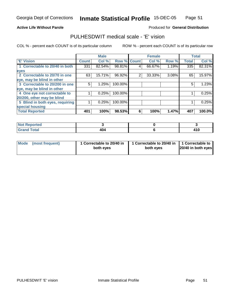#### **Active Life Without Parole**

#### Produced for **General Distribution**

### PULHESDWIT medical scale - 'E' vision

|                                 |              | <b>Male</b> |                    |   | <b>Female</b> |       |              | <b>Total</b> |
|---------------------------------|--------------|-------------|--------------------|---|---------------|-------|--------------|--------------|
| <b>E' Vision</b>                | <b>Count</b> | Col %       | <b>Row % Count</b> |   | Col %         | Row % | <b>Total</b> | Col %        |
| 1 Correctable to 20/40 in both  | 331          | 82.54%      | 98.81%             | 4 | 66.67%        | 1.19% | 335          | 82.31%       |
| eyes                            |              |             |                    |   |               |       |              |              |
| 2 Correctable to 20/70 in one   | 63           | 15.71%      | 96.92%             | 2 | 33.33%        | 3.08% | 65           | 15.97%       |
| eye, may be blind in other      |              |             |                    |   |               |       |              |              |
| 3 Correctable to 20/200 in one  | 5            | 1.25%       | 100.00%            |   |               |       | 5            | 1.23%        |
| eye, may be blind in other      |              |             |                    |   |               |       |              |              |
| 4 One eye not correctable to    |              | 0.25%       | 100.00%            |   |               |       |              | 0.25%        |
| 20/200, other may be blind      |              |             |                    |   |               |       |              |              |
| 5 Blind in both eyes, requiring |              | 0.25%       | 100.00%            |   |               |       |              | 0.25%        |
| special housing                 |              |             |                    |   |               |       |              |              |
| <b>Total Reported</b>           | 401          | 100%        | 98.53%             | 6 | 100%          | 1.47% | 407          | 100.0%       |

| <b>Not Reported</b> |     |                |
|---------------------|-----|----------------|
| <b>Grand Total</b>  | 404 | 1 A M<br>4 I V |

| Mode (most frequent) | 1 Correctable to 20/40 in<br>both eyes | 1 Correctable to 20/40 in   1 Correctable to<br>both eves | 20/40 in both eyes |
|----------------------|----------------------------------------|-----------------------------------------------------------|--------------------|
|----------------------|----------------------------------------|-----------------------------------------------------------|--------------------|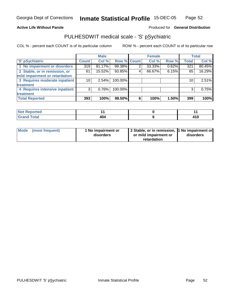#### **Active Life Without Parole**

#### Produced for **General Distribution**

### PULHESDWIT medical scale - 'S' pSychiatric

|                                |              | <b>Male</b> |             |   | <b>Female</b> |       |              | <b>Total</b> |
|--------------------------------|--------------|-------------|-------------|---|---------------|-------|--------------|--------------|
| 'S' pSychiatric                | <b>Count</b> | Col %       | Row % Count |   | Col %         | Row % | <b>Total</b> | Col %        |
| 1 No impairment or disorders   | 319          | 81.17%      | 99.38%      |   | 33.33%        | 0.62% | 321          | 80.45%       |
| 2 Stable, or in remission, or  | 61           | 15.52%      | 93.85%      | 4 | 66.67%        | 6.15% | 65           | 16.29%       |
| mild impairment or retardation |              |             |             |   |               |       |              |              |
| 3 Requires moderate inpatient  | 10           | $2.54\%$    | 100.00%     |   |               |       | 10           | 2.51%        |
| treatment                      |              |             |             |   |               |       |              |              |
| 4 Requires intensive inpatient | 3            | 0.76%       | 100.00%     |   |               |       | 3            | 0.75%        |
| treatment                      |              |             |             |   |               |       |              |              |
| <b>Total Reported</b>          | 393          | 100%        | 98.50%      | 6 | 100%          | 1.50% | 399          | 100%         |

| <b>Not Reported</b> |     |            |
|---------------------|-----|------------|
| <b>Grand Total</b>  | 10/ | 1 A A      |
| <b>Grand</b>        | 4V4 | $\cdot$ IV |

| Mode (most frequent) | 1 No impairment or<br>disorders | 2 Stable, or in remission, 1 No impairment or<br>or mild impairment or | disorders |  |
|----------------------|---------------------------------|------------------------------------------------------------------------|-----------|--|
|                      |                                 | retardation                                                            |           |  |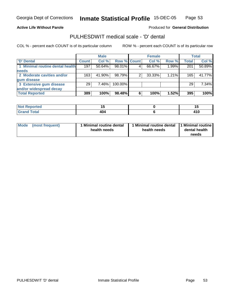#### **Active Life Without Parole**

#### Produced for **General Distribution**

### PULHESDWIT medical scale - 'D' dental

|                                 |                 | <b>Male</b> |             |   | <b>Female</b> |       |              | <b>Total</b> |
|---------------------------------|-----------------|-------------|-------------|---|---------------|-------|--------------|--------------|
| <b>D' Dental</b>                | <b>Count</b>    | Col %       | Row % Count |   | Col %         | Row % | <b>Total</b> | Col %        |
| 1 Minimal routine dental health | 197             | 50.64%      | 98.01%      |   | 66.67%        | 1.99% | 201          | 50.89%       |
| <b>needs</b>                    |                 |             |             |   |               |       |              |              |
| 2 Moderate cavities and/or      | 163             | 41.90%      | 98.79%      |   | 33.33%        | 1.21% | 165          | 41.77%       |
| gum disease                     |                 |             |             |   |               |       |              |              |
| 3 Extensive gum disease         | 29 <sub>1</sub> | 7.46%       | 100.00%     |   |               |       | 29           | 7.34%        |
| and/or widespread decay         |                 |             |             |   |               |       |              |              |
| <b>Total Reported</b>           | 389             | 100%        | 98.48%      | 6 | 100%          | 1.52% | 395          | 100%         |

| a continuous contracts.<br>тео     | $\overline{\phantom{a}}$ |               |
|------------------------------------|--------------------------|---------------|
| $\sim$ $\sim$ $\sim$ $\sim$ $\sim$ | "<br>יטי<br>$  -$        | 1.4 O<br>טו + |

| Mode            | 1 Minimal routine dental | Minimal routine dental  1 Minimal routine | dental health |
|-----------------|--------------------------|-------------------------------------------|---------------|
| (most frequent) | health needs             | health needs                              | needs         |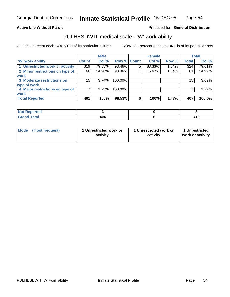#### **Active Life Without Parole**

#### Produced for **General Distribution**

### PULHESDWIT medical scale - 'W' work ability

|                                 |              | <b>Male</b> |                    |   | <b>Female</b> |       |              | Total  |
|---------------------------------|--------------|-------------|--------------------|---|---------------|-------|--------------|--------|
| W' work ability                 | <b>Count</b> | Col %       | <b>Row % Count</b> |   | Col %         | Row % | <b>Total</b> | Col %  |
| 1 Unrestricted work or activity | 319          | 79.55%      | 98.46%             | 5 | 83.33%        | 1.54% | 324          | 79.61% |
| 2 Minor restrictions on type of | 60           | 14.96%      | 98.36%             |   | 16.67%        | 1.64% | 61           | 14.99% |
| <b>work</b>                     |              |             |                    |   |               |       |              |        |
| 3 Moderate restrictions on      | 15           | $3.74\%$    | 100.00%            |   |               |       | 15           | 3.69%  |
| type of work                    |              |             |                    |   |               |       |              |        |
| 4 Major restrictions on type of |              | 1.75%       | 100.00%            |   |               |       |              | 1.72%  |
| <b>work</b>                     |              |             |                    |   |               |       |              |        |
| <b>Total Reported</b>           | 401          | 100%        | 98.53%             | 6 | 100%          | 1.47% | 407          | 100.0% |

| <b>Not Reported</b> |     |               |
|---------------------|-----|---------------|
| <b>Grand Total</b>  | 404 | 44 C<br>4 I V |

| Mode | (most frequent) | 1 Unrestricted work or<br>activity | 1 Unrestricted work or<br>activity | 1 Unrestricted<br>work or activity |
|------|-----------------|------------------------------------|------------------------------------|------------------------------------|
|      |                 |                                    |                                    |                                    |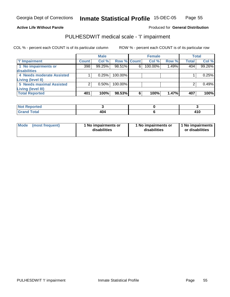#### **Active Life Without Parole**

### Produced for **General Distribution**

### PULHESDWIT medical scale - 'I' impairment

|                                 |              | <b>Male</b> |             |   | <b>Female</b> |       |              | <b>Total</b> |
|---------------------------------|--------------|-------------|-------------|---|---------------|-------|--------------|--------------|
| I'' Impairment                  | <b>Count</b> | Col %       | Row % Count |   | Col %         | Row % | <b>Total</b> | Col %        |
| 1 No impairments or             | 398          | 99.25%      | 98.51%      | 6 | 100.00%       | 1.49% | 404          | 99.26%       |
| disabilities                    |              |             |             |   |               |       |              |              |
| 4 Needs moderate Assisted       |              | 0.25%       | $100.00\%$  |   |               |       |              | 0.25%        |
| <b>Living (level II)</b>        |              |             |             |   |               |       |              |              |
| <b>5 Needs maximal Assisted</b> |              | 0.50%       | 100.00%     |   |               |       |              | 0.49%        |
| <b>Living (level III)</b>       |              |             |             |   |               |       |              |              |
| <b>Total Reported</b>           | 401          | 100%        | 98.53%      | 6 | 100%          | 1.47% | 407          | 100%l        |

| <b>Not Reported</b> |                 |                |
|---------------------|-----------------|----------------|
| Total<br><b>Cro</b> | 1C<br>ישר<br>__ | 1 A C<br>4 I V |

| <b>Mode</b>     | 1 No impairments or | 1 No impairments or | 1 No impairments |
|-----------------|---------------------|---------------------|------------------|
| (most frequent) | disabilities        | disabilities        | or disabilities  |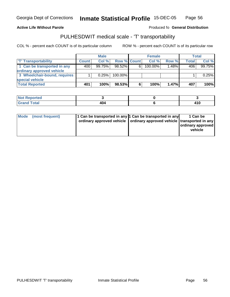Georgia Dept of Corrections

**Inmate Statistical Profile** 15-DEC-05 Page Page 56

**Active Life Without Parole Produced fo Seneral Distribution** 

### PULHESDWIT medical scale - 'T' transportability

|                              |              | <b>Male</b> |                    |   | <b>Female</b> |          |              | Total  |
|------------------------------|--------------|-------------|--------------------|---|---------------|----------|--------------|--------|
| <b>T' Transportability</b>   | <b>Count</b> | Col%        | <b>Row % Count</b> |   | Col %         | Row %    | <b>Total</b> | Col %  |
| 1 Can be transported in any  | 400          | 99.75%      | $98.52\%$          | 6 | 100.00%       | 1.48%    | 406          | 99.75% |
| ordinary approved vehicle    |              |             |                    |   |               |          |              |        |
| 3 Wheelchair-bound, requires |              | 0.25%       | $100.00\%$         |   |               |          |              | 0.25%  |
| special vehicle              |              |             |                    |   |               |          |              |        |
| <b>Total Reported</b>        | 401          | 100%        | 98.53%             | 6 | 100%          | $1.47\%$ | 407          | 100%   |

| ported<br>NOT |     |            |
|---------------|-----|------------|
| <b>Total</b>  | ៱៱៸ | 1 A C      |
| 'Grand        | 4V5 | $\cdot$ IV |

| <b>Mode</b> | (most frequent) | 1 Can be transported in any 1 Can be transported in any<br>ordinary approved vehicle   ordinary approved vehicle   transported in any | 1 Can be<br>ordinary approved<br>vehicle |
|-------------|-----------------|---------------------------------------------------------------------------------------------------------------------------------------|------------------------------------------|
|             |                 |                                                                                                                                       |                                          |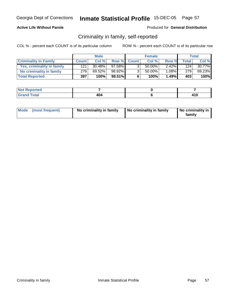### **Active Life Without Parole**

#### Produced for **General Distribution**

### Criminality in family, self-reported

|                              |              | <b>Male</b> |        |                | <b>Female</b> |          |              | Total     |
|------------------------------|--------------|-------------|--------|----------------|---------------|----------|--------------|-----------|
| <b>Criminality In Family</b> | <b>Count</b> | Col %       | Row %  | <b>Count</b>   | Col %         | Row %    | <b>Total</b> | Col %     |
| Yes, criminality in family   | 121          | 30.48%      | 97.58% | 3 <sub>1</sub> | 50.00%        | 2.42%    | 124          | $30.77\%$ |
| No criminality in family     | 276          | 69.52%      | 98.92% | 3 <sub>1</sub> | $50.00\%$     | $1.08\%$ | 279          | 69.23%    |
| <b>Total Reported</b>        | 397          | 100%        | 98.51% | 6              | 100%          | 1.49%    | 403          | 100%      |

| <b>rted</b>                                       |                  |                |
|---------------------------------------------------|------------------|----------------|
| $f$ $f \circ f \circ f$<br><b>TULAI</b><br>$\sim$ | 'na<br>ιv<br>___ | <b>A6</b><br>v |

| Mode (most frequent) | No criminality in family | No criminality in family | No criminality in<br>family |
|----------------------|--------------------------|--------------------------|-----------------------------|
|----------------------|--------------------------|--------------------------|-----------------------------|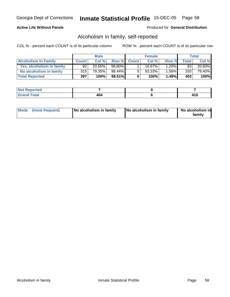### **Active Life Without Parole**

#### Produced for **General Distribution**

### Alcoholism in family, self-reported

|                             |              | <b>Male</b> |           |             | <b>Female</b> |       |                  | Total  |
|-----------------------------|--------------|-------------|-----------|-------------|---------------|-------|------------------|--------|
| <b>Alcoholism In Family</b> | <b>Count</b> | Col %       |           | Row % Count | Col %         | Row % | <b>Total</b>     | Col %  |
| Yes, alcoholism in family   | 82           | $20.65\%$   | 98.80%    |             | 16.67%        | 1.20% | 83               | 20.60% |
| No alcoholism in family     | 315          | 79.35%      | $98.44\%$ | 5           | 83.33%        | 1.56% | 320 <sub>1</sub> | 79.40% |
| <b>Total Reported</b>       | 397          | 100%        | 98.51%    | 6           | 100%          | 1.49% | 403              | 100%   |

| <b>Not</b><br>ported            |     |      |
|---------------------------------|-----|------|
| <b>c</b> otal<br>Gran<br>$\sim$ | 404 | t IV |

| Mode (most frequent)<br>No alcoholism in family | <b>No alcoholism in family</b> | No alcoholism in<br>familv |
|-------------------------------------------------|--------------------------------|----------------------------|
|-------------------------------------------------|--------------------------------|----------------------------|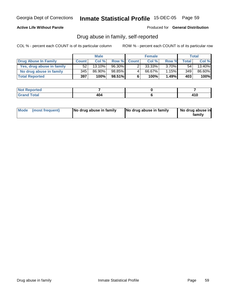### **Active Life Without Parole**

Produced for **General Distribution**

### Drug abuse in family, self-reported

|                           |              | <b>Male</b> |           |              | <b>Female</b> |          |              | Total  |
|---------------------------|--------------|-------------|-----------|--------------|---------------|----------|--------------|--------|
| Drug Abuse In Family      | <b>Count</b> | Col %       | Row %     | <b>Count</b> | Col %         | Row %    | <b>Total</b> | Col %  |
| Yes, drug abuse in family | 52           | 13.10%      | $96.30\%$ |              | 33.33%        | $3.70\%$ | 54           | 13.40% |
| No drug abuse in family   | 345          | 86.90%      | 98.85%    | 4            | 66.67%        | 1.15%    | 349          | 86.60% |
| <b>Total Reported</b>     | 397          | 100%        | 98.51%    | 6            | 100%          | 1.49%    | 403          | 100%   |

| <b>Not</b><br>ported            |     |      |
|---------------------------------|-----|------|
| <b>c</b> otal<br>Gran<br>$\sim$ | 404 | t IV |

| Mode (most frequent) |  | No drug abuse in family | No drug abuse in family | No drug abuse in<br>familv |
|----------------------|--|-------------------------|-------------------------|----------------------------|
|----------------------|--|-------------------------|-------------------------|----------------------------|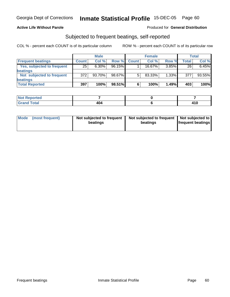### **Active Life Without Parole**

#### Produced for **General Distribution**

### Subjected to frequent beatings, self-reported

|                            |              | <b>Male</b> |        |              | <b>Female</b> |          |              | <b>Total</b> |
|----------------------------|--------------|-------------|--------|--------------|---------------|----------|--------------|--------------|
| <b>Frequent beatings</b>   | <b>Count</b> | Col%        | Row %  | <b>Count</b> | Col%          | Row %    | <b>Total</b> | Col %        |
| Yes, subjected to frequent | 25           | $6.30\%$    | 96.15% |              | 16.67%        | $3.85\%$ | 26           | 6.45%        |
| beatings                   |              |             |        |              |               |          |              |              |
| Not subjected to frequent  | 372          | 93.70%      | 98.67% | 5            | 83.33%        | $1.33\%$ | 377          | 93.55%       |
| beatings                   |              |             |        |              |               |          |              |              |
| <b>Total Reported</b>      | 397          | 100%        | 98.51% | 6            | 100%          | 1.49%    | 403          | 100%         |

| Not Reported<br>$\mathbf{r}$ |     |      |
|------------------------------|-----|------|
| <b>Grand Total</b><br>Caror  | 404 | 14 A |

| Mode | (most frequent) | Not subjected to frequent<br>beatings | Not subjected to frequent   Not subjected to  <br>beatings | <b>frequent beatings</b> |
|------|-----------------|---------------------------------------|------------------------------------------------------------|--------------------------|
|------|-----------------|---------------------------------------|------------------------------------------------------------|--------------------------|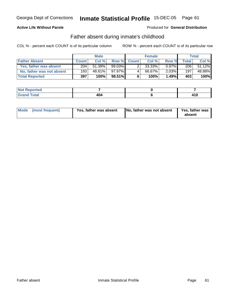### **Active Life Without Parole**

#### Produced for **General Distribution**

### Father absent during inmate's childhood

|                           |              | <b>Male</b> |        |             | <b>Female</b> |          |              | <b>Total</b> |
|---------------------------|--------------|-------------|--------|-------------|---------------|----------|--------------|--------------|
| <b>Father Absent</b>      | <b>Count</b> | Col %       |        | Row % Count | Col %         | Row %    | <b>Total</b> | Col %        |
| Yes, father was absent    | 204          | 51.39%      | 99.03% | 2           | 33.33%        | $0.97\%$ | 206          | 51.12%       |
| No, father was not absent | 193          | 48.61%      | 97.97% |             | 66.67%        | 2.03%    | 197          | 48.88%       |
| <b>Total Reported</b>     | 397          | 100%        | 98.51% | 6           | 100%          | 1.49%    | 403          | 100%         |

| <b>Not Reported</b> |     |       |
|---------------------|-----|-------|
| <b>Grand Total</b>  | 404 | / I V |

| Yes, father was absent<br>Mode (most frequent) | No, father was not absent | Yes, father was<br>absent |
|------------------------------------------------|---------------------------|---------------------------|
|------------------------------------------------|---------------------------|---------------------------|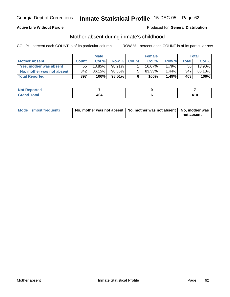### **Active Life Without Parole**

#### Produced for **General Distribution**

### Mother absent during inmate's childhood

|                           |              | <b>Male</b> |           |             | <b>Female</b> |       |                 | Total  |
|---------------------------|--------------|-------------|-----------|-------------|---------------|-------|-----------------|--------|
| <b>Mother Absent</b>      | <b>Count</b> | Col %       |           | Row % Count | Col %         | Row % | <b>Total</b>    | Col %  |
| Yes, mother was absent    | 55           | 13.85%      | 98.21%    |             | 16.67%।       | 1.79% | 56 <sup>1</sup> | 13.90% |
| No, mother was not absent | 342          | 86.15%      | 98.56%    | 5           | 83.33%        | 1.44% | 347             | 86.10% |
| <b>Total Reported</b>     | 397          | 100%        | $98.51\%$ | 6           | 100%          | 1.49% | 403             | 100%   |

| <b>Not Reported</b> |     |       |
|---------------------|-----|-------|
| <b>Total</b>        | 101 | 44 C  |
| 'Grand              | ___ | 4 I V |

| Mode (most frequent) | No, mother was not absent   No, mother was not absent   No, mother was |            |
|----------------------|------------------------------------------------------------------------|------------|
|                      |                                                                        | not absent |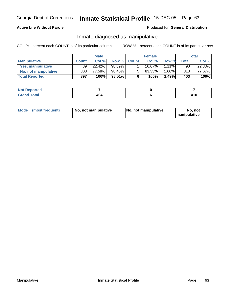### **Active Life Without Parole**

### Produced for **General Distribution**

### Inmate diagnosed as manipulative

|                          |              | <b>Male</b> |           |              | <b>Female</b> |          |       | Total  |
|--------------------------|--------------|-------------|-----------|--------------|---------------|----------|-------|--------|
| <b>Manipulative</b>      | <b>Count</b> | Col %       | Row %     | <b>Count</b> | Col %         | Row %    | Total | Col %  |
| <b>Yes, manipulative</b> | 89           | 22.42%      | 98.89%    |              | 16.67%        | $1.11\%$ | 90    | 22.33% |
| No, not manipulative     | 308          | 77.58%      | 98.40%    | 5            | 83.33%        | .60%     | 313   | 77.67% |
| <b>Total Reported</b>    | 397          | 100%        | $98.51\%$ | 6            | 100%          | 1.49%    | 403   | 100%   |

| ported<br><b>NOT</b>   |     |                                                        |  |
|------------------------|-----|--------------------------------------------------------|--|
| Total<br>Gran<br>----- | 404 | <b>A</b><br>T I W<br>and the control of the control of |  |

| <b>Mode</b><br>(most frequent)<br>  No. not manipulative | No, not manipulative | No, not<br><b>Imanipulative</b> |
|----------------------------------------------------------|----------------------|---------------------------------|
|----------------------------------------------------------|----------------------|---------------------------------|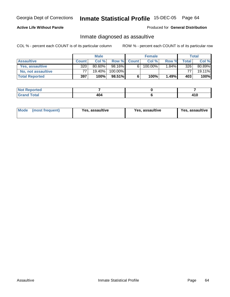### **Active Life Without Parole**

#### Produced for **General Distribution**

### Inmate diagnosed as assaultive

|                       |              | <b>Male</b> |              |              | <b>Female</b> |       |       | Total  |
|-----------------------|--------------|-------------|--------------|--------------|---------------|-------|-------|--------|
| <b>Assaultive</b>     | <b>Count</b> | Col %       | <b>Row %</b> | <b>Count</b> | Col %         | Row % | Total | Col %  |
| Yes, assaultive       | 320          | 80.60%      | 98.16%       | 6            | 100.00%       | 1.84% | 326   | 80.89% |
| No, not assaultive    | 77           | 19.40%      | 100.00%      |              |               |       | 77.   | 19.11% |
| <b>Total Reported</b> | 397          | 100%        | 98.51%       | 6            | 100%          | 1.49% | 403   | 100%   |

| <b>Not Reported</b> |     |            |
|---------------------|-----|------------|
| <b>Total</b>        | 404 | .<br>4 I V |

| <b>Mode</b><br><b>Yes, assaultive</b><br>(most frequent) | Yes, assaultive | Yes, assaultive |
|----------------------------------------------------------|-----------------|-----------------|
|----------------------------------------------------------|-----------------|-----------------|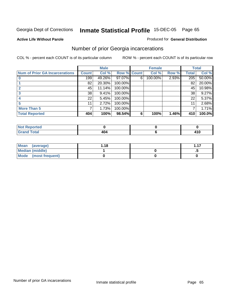#### **Active Life Without Parole**

#### Produced for **General Distribution**

### Number of prior Georgia incarcerations

|                                       |              | <b>Male</b> |             |   | <b>Female</b> |       |       | <b>Total</b> |
|---------------------------------------|--------------|-------------|-------------|---|---------------|-------|-------|--------------|
| <b>Num of Prior GA Incarcerations</b> | <b>Count</b> | Col %       | Row % Count |   | Col %         | Row % | Total | Col %        |
|                                       | 199          | 49.26%      | 97.07%      | 6 | 100.00%       | 2.93% | 205   | 50.00%       |
|                                       | 82           | 20.30%      | 100.00%     |   |               |       | 82    | 20.00%       |
|                                       | 45           | 11.14%      | 100.00%     |   |               |       | 45    | 10.98%       |
|                                       | 38           | 9.41%       | 100.00%     |   |               |       | 38    | 9.27%        |
|                                       | 22           | 5.45%       | 100.00%     |   |               |       | 22    | 5.37%        |
|                                       | 11           | 2.72%       | 100.00%     |   |               |       | 11    | 2.68%        |
| <b>More Than 5</b>                    | 7            | 1.73%       | 100.00%     |   |               |       |       | 1.71%        |
| <b>Total Reported</b>                 | 404          | 100%        | 98.54%      | 6 | 100%          | 1.46% | 410   | 100.0%       |

| N<br>тес. |    |                      |
|-----------|----|----------------------|
| int       | __ | 1 I V<br>-<br>$\sim$ |

| Mean (average)         | l.18 | 117 |
|------------------------|------|-----|
| <b>Median (middle)</b> |      |     |
| Mode (most frequent)   |      |     |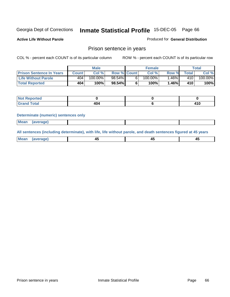**Active Life Without Parole** 

Produced for **General Distribution**

### Prison sentence in years

COL % - percent each COUNT is of its particular column ROW % - percent each COUNT is of its particular row

|                                 | Male         |         |                    | <b>Female</b> |            |       | $\tau$ otal |         |
|---------------------------------|--------------|---------|--------------------|---------------|------------|-------|-------------|---------|
| <b>Prison Sentence In Years</b> | <b>Count</b> | Col %   | <b>Row % Count</b> |               | Col %      | Row % | $\tau$ otal | Col %   |
| Life Without Parole             | 404          | 100.00% | $98.54\%$          |               | $100.00\%$ | .46%  | 410.        | 100.00% |
| <b>Total Reported</b>           | 404          | 100%    | 98.54%             |               | 100%       | 1.46% | 410         | 100%    |

| ാrted<br>w       |    |       |
|------------------|----|-------|
| <b>Total</b>     | .  | 1 A C |
| $\mathbf{v}$ and | 4U | - 195 |

#### **Determinate (numeric) sentences only**

| <b>Mean</b> | (average) |  |  |
|-------------|-----------|--|--|
|             |           |  |  |

**All sentences (including determinate), with life, life without parole, and death sentences figured at 45 years**

| ' Mea<br>апо      | ᠇ᡂ     |        | т.     |
|-------------------|--------|--------|--------|
| --- <i>--</i> --- | $\sim$ | $\sim$ | $\sim$ |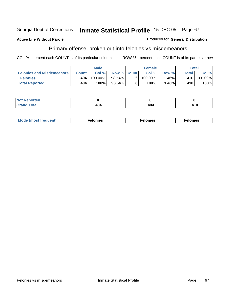#### **Active Life Without Parole**

# Primary offense, broken out into felonies vs misdemeanors

COL % - percent each COUNT is of its particular column ROW % - percent each COUNT is of its particular row

Produced for **General Distribution**

|                                  | <b>Male</b>  |          |                    | <b>Female</b> |            |         | Total        |             |
|----------------------------------|--------------|----------|--------------------|---------------|------------|---------|--------------|-------------|
| <b>Felonies and Misdemeanors</b> | <b>Count</b> | Col%     | <b>Row % Count</b> |               | Col%       | Row %   | <b>Total</b> | Col %       |
| <b>Felonies</b>                  | 404          | 100.00%」 | $98.54\%$          |               | $100.00\%$ | .46%    | 410          | 100.00%     |
| <b>Total Reported</b>            | 404          | 100%     | 98.54%             |               | 100%       | $.46\%$ | 410          | <b>100%</b> |

| <b>Not</b><br><b>Reported</b><br> |     |       |     |
|-----------------------------------|-----|-------|-----|
| fotal                             | .   | 1 N A | 410 |
| Grand                             | 4V5 | 4V5   |     |

| <b>Mo</b><br>requent)<br>onies<br>.<br>____ | nies.<br>חי<br>____ | <b>onies</b><br>. |
|---------------------------------------------|---------------------|-------------------|
|---------------------------------------------|---------------------|-------------------|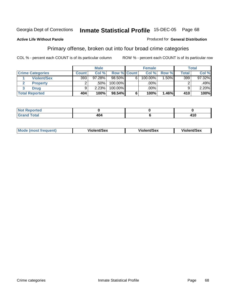#### **Active Life Without Parole**

#### Produced for **General Distribution**

### Primary offense, broken out into four broad crime categories

|                         | <b>Male</b>  |        |             | <b>Female</b> |            |          | <b>Total</b> |        |
|-------------------------|--------------|--------|-------------|---------------|------------|----------|--------------|--------|
| <b>Crime Categories</b> | <b>Count</b> | Col %  | Row % Count |               | Col %      | Row %    | Total        | Col %  |
| <b>Violent/Sex</b>      | 393          | 97.28% | 98.50%      | 6             | $100.00\%$ | $1.50\%$ | 399          | 97.32% |
| <b>Property</b>         | ົ            | .50%   | 100.00%     |               | .00%       |          |              | .49%   |
| Drua                    | 9            | 2.23%  | 100.00%     |               | .00%       |          | 9            | 2.20%  |
| <b>Total Reported</b>   | 404          | 100%   | 98.54%      | 6             | 100%       | 1.46%    | 410          | 100%   |

| Mode<br>(most frequent) | Violent/Sex | <b>Violent/Sex</b> | Violent/Sex |
|-------------------------|-------------|--------------------|-------------|
|                         |             |                    |             |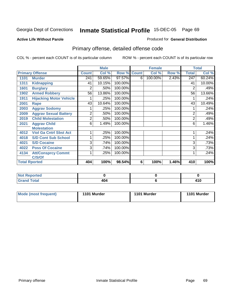#### **Active Life Without Parole**

### Produced for **General Distribution**

# Primary offense, detailed offense code

|      |                                |              | <b>Male</b> |         |             | <b>Female</b> |       |                | <b>Total</b> |
|------|--------------------------------|--------------|-------------|---------|-------------|---------------|-------|----------------|--------------|
|      | <b>Primary Offense</b>         | <b>Count</b> | Col %       |         | Row % Count | Col %         | Row % | <b>Total</b>   | Col %        |
| 1101 | <b>Murder</b>                  | 241          | 59.65%      | 97.57%  | 6           | 100.00%       | 2.43% | 247            | 60.24%       |
| 1311 | <b>Kidnapping</b>              | 41           | 10.15%      | 100.00% |             |               |       | 41             | 10.00%       |
| 1601 | <b>Burglary</b>                | 2            | .50%        | 100.00% |             |               |       | 2              | .49%         |
| 1902 | <b>Armed Robbery</b>           | 56           | 13.86%      | 100.00% |             |               |       | 56             | 13.66%       |
| 1911 | <b>Hijacking Motor Vehicle</b> |              | .25%        | 100.00% |             |               |       |                | .24%         |
| 2001 | Rape                           | 43           | 10.64%      | 100.00% |             |               |       | 43             | 10.49%       |
| 2003 | <b>Aggrav Sodomy</b>           |              | .25%        | 100.00% |             |               |       |                | .24%         |
| 2009 | <b>Aggrav Sexual Battery</b>   | 2            | .50%        | 100.00% |             |               |       | $\overline{2}$ | .49%         |
| 2019 | <b>Child Molestation</b>       | 2            | .50%        | 100.00% |             |               |       | 2              | .49%         |
| 2021 | <b>Aggrav Child</b>            | 6            | 1.49%       | 100.00% |             |               |       | 6              | 1.46%        |
|      | <b>Molestation</b>             |              |             |         |             |               |       |                |              |
| 4012 | <b>Viol Ga Cntrl Sbst Act</b>  |              | .25%        | 100.00% |             |               |       |                | .24%         |
| 4018 | <b>S/D Cont Sub School</b>     |              | .25%        | 100.00% |             |               |       |                | .24%         |
| 4021 | <b>S/D Cocaine</b>             | 3            | .74%        | 100.00% |             |               |       | 3              | .73%         |
| 4022 | <b>Poss Of Cocaine</b>         | 3            | .74%        | 100.00% |             |               |       | 3              | .73%         |
| 4134 | <b>Att/Consprcy Commt</b>      |              | .25%        | 100.00% |             |               |       |                | .24%         |
|      | C/S/Of                         |              |             |         |             |               |       |                |              |
|      | <b>Total Rported</b>           | 404          | 100%        | 98.54%  | 6           | 100%          | 1.46% | 410            | 100%         |

| Reported    |                 |       |
|-------------|-----------------|-------|
| <b>otal</b> | <b>A</b> $\sim$ | 1 A C |
| $- \cdot$   | 404             | ιu    |

| <b>Mode (most frequent)</b> | 1101 Murder | 1101 Murder | 1101 Murder |
|-----------------------------|-------------|-------------|-------------|
|-----------------------------|-------------|-------------|-------------|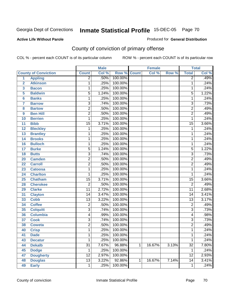#### **Active Life Without Parole**

#### Produced for **General Distribution**

# County of conviction of primary offense

|                |                             |                 | <b>Male</b> |         |              | <b>Female</b> |       |                 | <b>Total</b> |
|----------------|-----------------------------|-----------------|-------------|---------|--------------|---------------|-------|-----------------|--------------|
|                | <b>County of Conviction</b> | <b>Count</b>    | Col %       | Row %   | <b>Count</b> | Col %         | Row % | <b>Total</b>    | Col %        |
| 1              | <b>Appling</b>              | $\overline{2}$  | .50%        | 100.00% |              |               |       | $\overline{2}$  | .49%         |
| $\overline{2}$ | <b>Atkinson</b>             | 1               | .25%        | 100.00% |              |               |       | 1               | .24%         |
| 3              | <b>Bacon</b>                | 1               | .25%        | 100.00% |              |               |       | 1               | .24%         |
| 5              | <b>Baldwin</b>              | $\overline{5}$  | 1.24%       | 100.00% |              |               |       | $\overline{5}$  | 1.22%        |
| $6\phantom{a}$ | <b>Banks</b>                | 1               | .25%        | 100.00% |              |               |       | 1               | .24%         |
| $\overline{7}$ | <b>Barrow</b>               | 3               | .74%        | 100.00% |              |               |       | $\overline{3}$  | .73%         |
| 8              | <b>Bartow</b>               | $\overline{2}$  | .50%        | 100.00% |              |               |       | $\overline{2}$  | .49%         |
| 9              | <b>Ben Hill</b>             | $\overline{2}$  | .50%        | 100.00% |              |               |       | $\overline{2}$  | .49%         |
| 10             | <b>Berrien</b>              | 1               | .25%        | 100.00% |              |               |       | 1               | .24%         |
| 11             | <b>Bibb</b>                 | $\overline{15}$ | 3.71%       | 100.00% |              |               |       | $\overline{15}$ | 3.66%        |
| 12             | <b>Bleckley</b>             | 1               | .25%        | 100.00% |              |               |       | 1               | .24%         |
| 13             | <b>Brantley</b>             | 1               | .25%        | 100.00% |              |               |       | 1               | .24%         |
| 14             | <b>Brooks</b>               | 1               | .25%        | 100.00% |              |               |       | 1               | .24%         |
| 16             | <b>Bulloch</b>              | 1               | .25%        | 100.00% |              |               |       | 1               | .24%         |
| 17             | <b>Burke</b>                | $\overline{5}$  | 1.24%       | 100.00% |              |               |       | $\overline{5}$  | 1.22%        |
| 18             | <b>Butts</b>                | $\overline{3}$  | .74%        | 100.00% |              |               |       | $\overline{3}$  | .73%         |
| 20             | <b>Camden</b>               | $\overline{2}$  | .50%        | 100.00% |              |               |       | $\overline{2}$  | .49%         |
| 22             | <b>Carroll</b>              | $\overline{2}$  | .50%        | 100.00% |              |               |       | $\overline{2}$  | .49%         |
| 23             | <b>Catoosa</b>              | 1               | .25%        | 100.00% |              |               |       | 1               | .24%         |
| 24             | <b>Charlton</b>             | $\mathbf 1$     | .25%        | 100.00% |              |               |       | $\mathbf{1}$    | .24%         |
| 25             | <b>Chatham</b>              | $\overline{15}$ | 3.71%       | 100.00% |              |               |       | $\overline{15}$ | 3.66%        |
| 28             | <b>Cherokee</b>             | $\overline{2}$  | .50%        | 100.00% |              |               |       | $\overline{2}$  | .49%         |
| 29             | <b>Clarke</b>               | $\overline{11}$ | 2.72%       | 100.00% |              |               |       | $\overline{11}$ | 2.68%        |
| 31             | <b>Clayton</b>              | 14              | 3.47%       | 100.00% |              |               |       | $\overline{14}$ | 3.41%        |
| 33             | <b>Cobb</b>                 | 13              | 3.22%       | 100.00% |              |               |       | $\overline{13}$ | 3.17%        |
| 34             | <b>Coffee</b>               | $\overline{2}$  | .50%        | 100.00% |              |               |       | $\overline{2}$  | .49%         |
| 35             | <b>Colquitt</b>             | $\overline{3}$  | .74%        | 100.00% |              |               |       | $\overline{3}$  | .73%         |
| 36             | <b>Columbia</b>             | 4               | .99%        | 100.00% |              |               |       | $\overline{4}$  | .98%         |
| 37             | <b>Cook</b>                 | 3               | .74%        | 100.00% |              |               |       | $\overline{3}$  | .73%         |
| 38             | <b>Coweta</b>               | $\overline{2}$  | .50%        | 100.00% |              |               |       | $\overline{2}$  | .49%         |
| 40             | <b>Crisp</b>                | 1               | .25%        | 100.00% |              |               |       | 1               | .24%         |
| 41             | <b>Dade</b>                 | 1               | .25%        | 100.00% |              |               |       | 1               | .24%         |
| 43             | <b>Decatur</b>              | 1               | .25%        | 100.00% |              |               |       | 1               | .24%         |
| 44             | <b>Dekalb</b>               | $\overline{31}$ | 7.67%       | 96.88%  | 1            | 16.67%        | 3.13% | $\overline{32}$ | 7.80%        |
| 45             | <b>Dodge</b>                | $\mathbf 1$     | .25%        | 100.00% |              |               |       | 1               | .24%         |
| 47             | <b>Dougherty</b>            | $\overline{12}$ | 2.97%       | 100.00% |              |               |       | $\overline{12}$ | 2.93%        |
| 48             | <b>Douglas</b>              | $\overline{13}$ | 3.22%       | 92.86%  | 1            | 16.67%        | 7.14% | $\overline{14}$ | 3.41%        |
| 49             | <b>Early</b>                | $\overline{1}$  | .25%        | 100.00% |              |               |       | 1               | .24%         |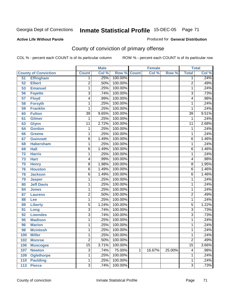#### **Active Life Without Parole**

#### Produced for **General Distribution**

# County of conviction of primary offense

|     |                             | <b>Male</b>     |       | <b>Female</b> |              |        | <b>Total</b> |                         |       |
|-----|-----------------------------|-----------------|-------|---------------|--------------|--------|--------------|-------------------------|-------|
|     | <b>County of Conviction</b> | <b>Count</b>    | Col % | Row %         | <b>Count</b> | Col %  | Row %        | <b>Total</b>            | Col % |
| 51  | <b>Effingham</b>            | 1               | .25%  | 100.00%       |              |        |              | 1                       | .24%  |
| 52  | <b>Elbert</b>               | $\overline{2}$  | .50%  | 100.00%       |              |        |              | $\overline{2}$          | .49%  |
| 53  | <b>Emanuel</b>              | 1               | .25%  | 100.00%       |              |        |              | 1                       | .24%  |
| 56  | <b>Fayette</b>              | $\overline{3}$  | .74%  | 100.00%       |              |        |              | $\overline{3}$          | .73%  |
| 57  | <b>Floyd</b>                | 4               | .99%  | 100.00%       |              |        |              | $\overline{\mathbf{4}}$ | .98%  |
| 58  | <b>Forsyth</b>              | 1               | .25%  | 100.00%       |              |        |              | 1                       | .24%  |
| 59  | <b>Franklin</b>             | 1               | .25%  | 100.00%       |              |        |              | 1                       | .24%  |
| 60  | <b>Fulton</b>               | $\overline{39}$ | 9.65% | 100.00%       |              |        |              | $\overline{39}$         | 9.51% |
| 61  | <b>Gilmer</b>               | 1               | .25%  | 100.00%       |              |        |              | 1                       | .24%  |
| 63  | <b>Glynn</b>                | $\overline{11}$ | 2.72% | 100.00%       |              |        |              | $\overline{11}$         | 2.68% |
| 64  | <b>Gordon</b>               | 1               | .25%  | 100.00%       |              |        |              | 1                       | .24%  |
| 66  | <b>Greene</b>               | 1               | .25%  | 100.00%       |              |        |              | $\mathbf{1}$            | .24%  |
| 67  | <b>Gwinnett</b>             | $\overline{6}$  | 1.49% | 100.00%       |              |        |              | $\overline{6}$          | 1.46% |
| 68  | <b>Habersham</b>            | 1               | .25%  | 100.00%       |              |        |              | 1                       | .24%  |
| 69  | <b>Hall</b>                 | 6               | 1.49% | 100.00%       |              |        |              | 6                       | 1.46% |
| 72  | <b>Harris</b>               | 1               | .25%  | 100.00%       |              |        |              | 1                       | .24%  |
| 73  | <b>Hart</b>                 | 4               | .99%  | 100.00%       |              |        |              | 4                       | .98%  |
| 75  | <b>Henry</b>                | $\overline{8}$  | 1.98% | 100.00%       |              |        |              | 8                       | 1.95% |
| 76  | <b>Houston</b>              | $\overline{6}$  | 1.49% | 100.00%       |              |        |              | 6                       | 1.46% |
| 78  | <b>Jackson</b>              | 6               | 1.49% | 100.00%       |              |        |              | 6                       | 1.46% |
| 79  | <b>Jasper</b>               | 1               | .25%  | 100.00%       |              |        |              | 1                       | .24%  |
| 80  | <b>Jeff Davis</b>           | 1               | .25%  | 100.00%       |              |        |              | 1                       | .24%  |
| 84  | <b>Jones</b>                | 1               | .25%  | 100.00%       |              |        |              | 1                       | .24%  |
| 87  | <b>Laurens</b>              | $\overline{2}$  | .50%  | 100.00%       |              |        |              | $\overline{2}$          | .49%  |
| 88  | <b>Lee</b>                  | 1               | .25%  | 100.00%       |              |        |              | 1                       | .24%  |
| 89  | <b>Liberty</b>              | $\overline{5}$  | 1.24% | 100.00%       |              |        |              | $\overline{5}$          | 1.22% |
| 91  | Long                        | $\overline{3}$  | .74%  | 100.00%       |              |        |              | $\overline{3}$          | .73%  |
| 92  | <b>Lowndes</b>              | $\overline{3}$  | .74%  | 100.00%       |              |        |              | $\overline{3}$          | .73%  |
| 95  | <b>Madison</b>              | 1               | .25%  | 100.00%       |              |        |              | 1                       | .24%  |
| 96  | <b>Marion</b>               | 1               | .25%  | 100.00%       |              |        |              | 1                       | .24%  |
| 98  | <b>Mcintosh</b>             | 1               | .25%  | 100.00%       |              |        |              | 1                       | .24%  |
| 100 | <b>Miller</b>               | 1               | .25%  | 100.00%       |              |        |              | 1                       | .24%  |
| 102 | <b>Monroe</b>               | $\overline{2}$  | .50%  | 100.00%       |              |        |              | $\overline{2}$          | .49%  |
| 106 | <b>Muscogee</b>             | $\overline{15}$ | 3.71% | 100.00%       |              |        |              | $\overline{15}$         | 3.66% |
| 107 | <b>Newton</b>               | $\overline{3}$  | .74%  | 75.00%        | 1            | 16.67% | 25.00%       | $\overline{\mathbf{4}}$ | .98%  |
| 109 | <b>Oglethorpe</b>           | 1               | .25%  | 100.00%       |              |        |              | 1                       | .24%  |
| 110 | <b>Paulding</b>             | 1               | .25%  | 100.00%       |              |        |              | 1                       | .24%  |
| 113 | <b>Pierce</b>               | $\overline{3}$  | .74%  | 100.00%       |              |        |              | $\overline{3}$          | .73%  |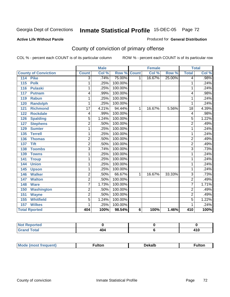#### **Active Life Without Parole**

#### Produced for **General Distribution**

# County of conviction of primary offense

|                             | <b>Male</b>     |       |         | <b>Female</b> |        |        | <b>Total</b>    |                            |
|-----------------------------|-----------------|-------|---------|---------------|--------|--------|-----------------|----------------------------|
| <b>County of Conviction</b> | <b>Count</b>    | Col % | Row %   | <b>Count</b>  | Col %  | Row %  | <b>Total</b>    | $\overline{\text{Col }^9}$ |
| <b>Pike</b><br>114          | 3               | .74%  | 75.00%  | $\mathbf 1$   | 16.67% | 25.00% | 4               | .98%                       |
| <b>Polk</b><br>115          | 1               | .25%  | 100.00% |               |        |        | 1               | .24%                       |
| <b>Pulaski</b><br>116       | 1               | .25%  | 100.00% |               |        |        | 1               | .24%                       |
| 117<br><b>Putnam</b>        | 4               | .99%  | 100.00% |               |        |        | 4               | .98%                       |
| <b>Rabun</b><br>119         | 1               | .25%  | 100.00% |               |        |        | 1               | .24%                       |
| <b>Randolph</b><br>120      | 1               | .25%  | 100.00% |               |        |        | 1               | .24%                       |
| <b>Richmond</b><br>121      | $\overline{17}$ | 4.21% | 94.44%  | $\mathbf 1$   | 16.67% | 5.56%  | $\overline{18}$ | 4.39%                      |
| <b>Rockdale</b><br>122      | 4               | .99%  | 100.00% |               |        |        | 4               | .98%                       |
| 126<br><b>Spalding</b>      | $\overline{5}$  | 1.24% | 100.00% |               |        |        | $\overline{5}$  | 1.22%                      |
| <b>Stephens</b><br>127      | $\overline{2}$  | .50%  | 100.00% |               |        |        | $\overline{2}$  | .49%                       |
| <b>Sumter</b><br>129        | 1               | .25%  | 100.00% |               |        |        | 1               | .24%                       |
| 135<br><b>Terrell</b>       | 1               | .25%  | 100.00% |               |        |        | 1               | .24%                       |
| 136<br><b>Thomas</b>        | $\overline{2}$  | .50%  | 100.00% |               |        |        | $\overline{2}$  | .49%                       |
| <b>Tift</b><br>137          | $\overline{2}$  | .50%  | 100.00% |               |        |        | $\overline{2}$  | .49%                       |
| <b>Toombs</b><br>138        | $\overline{3}$  | .74%  | 100.00% |               |        |        | $\overline{3}$  | .73%                       |
| <b>Towns</b><br>139         | 1               | .25%  | 100.00% |               |        |        | 1               | .24%                       |
| 141<br><b>Troup</b>         | 1               | .25%  | 100.00% |               |        |        | 1               | .24%                       |
| <b>Union</b><br>144         | 1               | .25%  | 100.00% |               |        |        | 1               | .24%                       |
| 145<br><b>Upson</b>         | 1               | .25%  | 100.00% |               |        |        | 1               | .24%                       |
| <b>Walker</b><br>146        | $\overline{2}$  | .50%  | 66.67%  | 1             | 16.67% | 33.33% | $\overline{3}$  | .73%                       |
| 147<br><b>Walton</b>        | $\overline{2}$  | .50%  | 100.00% |               |        |        | $\overline{2}$  | .49%                       |
| <b>Ware</b><br>148          | 7               | 1.73% | 100.00% |               |        |        | 7               | 1.71%                      |
| <b>Washington</b><br>150    | $\overline{2}$  | .50%  | 100.00% |               |        |        | $\overline{2}$  | .49%                       |
| 151<br><b>Wayne</b>         | $\overline{2}$  | .50%  | 100.00% |               |        |        | $\overline{2}$  | .49%                       |
| <b>Whitfield</b><br>155     | 5               | 1.24% | 100.00% |               |        |        | 5               | 1.22%                      |
| 157<br><b>Wilkes</b>        | 1               | .25%  | 100.00% |               |        |        | 1               | .24%                       |
| <b>Total Rported</b>        | 404             | 100%  | 98.54%  | 6             | 100%   | 1.46%  | 410             | 100%                       |

| المستقلة والمستحدث<br>ortea<br>$\cdots$ |                  |              |
|-----------------------------------------|------------------|--------------|
| $C = 4 - 7$                             | 101<br>4υ<br>___ | .<br>.<br>__ |

| <b>Mode</b><br><b>auent)</b> | ulton | Dekalb<br>____ | <sup>-</sup> ulton |
|------------------------------|-------|----------------|--------------------|
|                              |       |                |                    |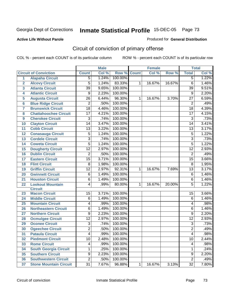#### **Active Life Without Parole**

#### Produced for **General Distribution**

# Circuit of conviction of primary offense

|                         |                               | <b>Male</b>     |       | Female  |              |        | <b>Total</b> |                 |       |
|-------------------------|-------------------------------|-----------------|-------|---------|--------------|--------|--------------|-----------------|-------|
|                         | <b>Circuit of Conviction</b>  | <b>Count</b>    | Col % | Row %   | <b>Count</b> | Col %  | Row %        | <b>Total</b>    | Col % |
| 1                       | <b>Alapaha Circuit</b>        | 5               | 1.24% | 100.00% |              |        |              | 5               | 1.22% |
| $\overline{2}$          | <b>Alcovy Circuit</b>         | 5               | 1.24% | 83.33%  | $\mathbf{1}$ | 16.67% | 16.67%       | $\overline{6}$  | 1.46% |
| $\overline{\mathbf{3}}$ | <b>Atlanta Circuit</b>        | $\overline{39}$ | 9.65% | 100.00% |              |        |              | $\overline{39}$ | 9.51% |
| 4                       | <b>Atlantic Circuit</b>       | 9               | 2.23% | 100.00% |              |        |              | $\overline{9}$  | 2.20% |
| 5                       | <b>Augusta Circuit</b>        | $\overline{26}$ | 6.44% | 96.30%  | 1            | 16.67% | 3.70%        | $\overline{27}$ | 6.59% |
| $6\phantom{a}6$         | <b>Blue Ridge Circuit</b>     | $\overline{2}$  | .50%  | 100.00% |              |        |              | $\overline{2}$  | .49%  |
| 7                       | <b>Brunswick Circuit</b>      | $\overline{18}$ | 4.46% | 100.00% |              |        |              | $\overline{18}$ | 4.39% |
| 8                       | <b>Chattahoochee Circuit</b>  | $\overline{17}$ | 4.21% | 100.00% |              |        |              | $\overline{17}$ | 4.15% |
| 9                       | <b>Cherokee Circuit</b>       | 3               | .74%  | 100.00% |              |        |              | $\overline{3}$  | .73%  |
| 10                      | <b>Clayton Circuit</b>        | $\overline{14}$ | 3.47% | 100.00% |              |        |              | 14              | 3.41% |
| 11                      | <b>Cobb Circuit</b>           | 13              | 3.22% | 100.00% |              |        |              | 13              | 3.17% |
| 12                      | <b>Conasauga Circuit</b>      | 5               | 1.24% | 100.00% |              |        |              | $\overline{5}$  | 1.22% |
| 13                      | <b>Cordele Circuit</b>        | 3               | .74%  | 100.00% |              |        |              | $\overline{3}$  | .73%  |
| 14                      | <b>Coweta Circuit</b>         | $\overline{5}$  | 1.24% | 100.00% |              |        |              | $\overline{5}$  | 1.22% |
| 15                      | <b>Dougherty Circuit</b>      | $\overline{12}$ | 2.97% | 100.00% |              |        |              | $\overline{12}$ | 2.93% |
| 16                      | <b>Dublin Circuit</b>         | $\overline{2}$  | .50%  | 100.00% |              |        |              | $\overline{2}$  | .49%  |
| 17                      | <b>Eastern Circuit</b>        | $\overline{15}$ | 3.71% | 100.00% |              |        |              | 15              | 3.66% |
| 18                      | <b>Flint Circuit</b>          | 8               | 1.98% | 100.00% |              |        |              | 8               | 1.95% |
| 19                      | <b>Griffin Circuit</b>        | $\overline{12}$ | 2.97% | 92.31%  | 1            | 16.67% | 7.69%        | $\overline{13}$ | 3.17% |
| 20                      | <b>Gwinnett Circuit</b>       | 6               | 1.49% | 100.00% |              |        |              | $\overline{6}$  | 1.46% |
| 21                      | <b>Houston Circuit</b>        | 6               | 1.49% | 100.00% |              |        |              | $\overline{6}$  | 1.46% |
| 22                      | <b>Lookout Mountain</b>       | 4               | .99%  | 80.00%  | $\mathbf{1}$ | 16.67% | 20.00%       | $\overline{5}$  | 1.22% |
|                         | <b>Circuit</b>                |                 |       |         |              |        |              |                 |       |
| 23                      | <b>Macon Circuit</b>          | 15              | 3.71% | 100.00% |              |        |              | 15              | 3.66% |
| 24                      | <b>Middle Circuit</b>         | $\overline{6}$  | 1.49% | 100.00% |              |        |              | $\overline{6}$  | 1.46% |
| 25                      | <b>Mountain Circuit</b>       | 4               | .99%  | 100.00% |              |        |              | 4               | .98%  |
| 26                      | <b>Northeastern Circuit</b>   | 6               | 1.49% | 100.00% |              |        |              | 6               | 1.46% |
| 27                      | <b>Northern Circuit</b>       | 9               | 2.23% | 100.00% |              |        |              | 9               | 2.20% |
| 28                      | <b>Ocmulgee Circuit</b>       | $\overline{12}$ | 2.97% | 100.00% |              |        |              | $\overline{12}$ | 2.93% |
| 29                      | <b>Oconee Circuit</b>         | $\overline{3}$  | .74%  | 100.00% |              |        |              | $\overline{3}$  | .73%  |
| 30                      | <b>Ogeechee Circuit</b>       | $\overline{2}$  | .50%  | 100.00% |              |        |              | $\overline{2}$  | .49%  |
| $\overline{31}$         | <b>Pataula Circuit</b>        | 4               | .99%  | 100.00% |              |        |              | 4               | .98%  |
| 32                      | <b>Piedmont Circuit</b>       | 10              | 2.48% | 100.00% |              |        |              | 10              | 2.44% |
| 33                      | <b>Rome Circuit</b>           | 4               | .99%  | 100.00% |              |        |              | 4               | .98%  |
| 34                      | <b>South Georgia Circuit</b>  | 1               | .25%  | 100.00% |              |        |              | $\mathbf{1}$    | .24%  |
| 35                      | <b>Southern Circuit</b>       | $\overline{9}$  | 2.23% | 100.00% |              |        |              | $\overline{9}$  | 2.20% |
| 36                      | <b>Southwestern Circuit</b>   | $\overline{2}$  | .50%  | 100.00% |              |        |              | $\overline{2}$  | .49%  |
| 37                      | <b>Stone Mountain Circuit</b> | $\overline{31}$ | 7.67% | 96.88%  | $\mathbf{1}$ | 16.67% | 3.13%        | $\overline{32}$ | 7.80% |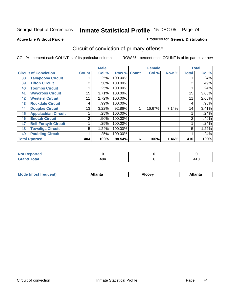Produced for **General Distribution**

### **Active Life Without Parole**

# Circuit of conviction of primary offense

|    |                              |                | <b>Male</b> |                    |   | <b>Female</b> |       |              | <b>Total</b> |
|----|------------------------------|----------------|-------------|--------------------|---|---------------|-------|--------------|--------------|
|    | <b>Circuit of Conviction</b> | <b>Count</b>   | Col %       | <b>Row % Count</b> |   | Col %         | Row % | <b>Total</b> | Col %        |
| 38 | <b>Tallapoosa Circuit</b>    |                | .25%        | 100.00%            |   |               |       |              | .24%         |
| 39 | <b>Tifton Circuit</b>        | 2              | .50%        | 100.00%            |   |               |       | 2            | .49%         |
| 40 | <b>Toombs Circuit</b>        |                | .25%        | 100.00%            |   |               |       |              | .24%         |
| 41 | <b>Waycross Circuit</b>      | 15             | 3.71%       | 100.00%            |   |               |       | 15           | 3.66%        |
| 42 | <b>Western Circuit</b>       | 11             | 2.72%       | 100.00%            |   |               |       | 11           | 2.68%        |
| 43 | <b>Rockdale Circuit</b>      | 4              | .99%        | 100.00%            |   |               |       | 4            | .98%         |
| 44 | <b>Douglas Circuit</b>       | 13             | $3.22\%$    | 92.86%             |   | 16.67%        | 7.14% | 14           | 3.41%        |
| 45 | <b>Appalachian Circuit</b>   |                | .25%        | 100.00%            |   |               |       |              | .24%         |
| 46 | <b>Enotah Circuit</b>        | $\overline{2}$ | .50%        | 100.00%            |   |               |       | 2            | .49%         |
| 47 | <b>Bell-Forsyth Circuit</b>  |                | .25%        | 100.00%            |   |               |       |              | .24%         |
| 48 | <b>Towaliga Circuit</b>      | 5              | 1.24%       | 100.00%            |   |               |       | 5            | 1.22%        |
| 49 | <b>Paulding Circuit</b>      |                | .25%        | 100.00%            |   |               |       | 4            | .24%         |
|    | <b>Total Rported</b>         | 404            | 100%        | 98.54%             | 6 | 100%          | 1.46% | 410          | 100%         |

| <b>Not Reported</b> |     |     |
|---------------------|-----|-----|
| $T0$ in $T0$        | 404 | - 1 |

| Mο<br> | Atlanta | Alcovv<br>$ -$ | `nta<br>- --------- |
|--------|---------|----------------|---------------------|
|        |         |                |                     |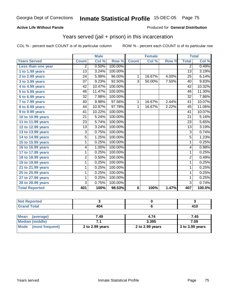### **Active Life Without Parole**

#### Produced for **General Distribution**

## Years served (jail + prison) in this incarceration

|                       |                 | <b>Male</b> |         |                | <b>Female</b> |       |                 | <b>Total</b> |
|-----------------------|-----------------|-------------|---------|----------------|---------------|-------|-----------------|--------------|
| <b>Years Served</b>   | <b>Count</b>    | Col %       | Row %   | <b>Count</b>   | Col %         | Row % | <b>Total</b>    | Col %        |
| Less than one year    | $\overline{2}$  | 0.50%       | 100.00% |                |               |       | $\overline{2}$  | 0.49%        |
| 1 to 1.99 years       | $\overline{13}$ | 3.24%       | 100.00% |                |               |       | $\overline{13}$ | 3.19%        |
| 2 to 2.99 years       | $\overline{24}$ | 5.99%       | 96.00%  | 1              | 16.67%        | 4.00% | 25              | 6.14%        |
| 3 to 3.99 years       | $\overline{37}$ | 9.23%       | 92.50%  | $\overline{3}$ | 50.00%        | 7.50% | 40              | 9.83%        |
| 4 to 4.99 years       | 42              | 10.47%      | 100.00% |                |               |       | 42              | 10.32%       |
| 5 to 5.99 years       | 46              | 11.47%      | 100.00% |                |               |       | 46              | 11.30%       |
| 6 to 6.99 years       | $\overline{32}$ | 7.98%       | 100.00% |                |               |       | $\overline{32}$ | 7.86%        |
| 7 to 7.99 years       | 40              | 9.98%       | 97.56%  | 1              | 16.67%        | 2.44% | 41              | 10.07%       |
| 8 to 8.99 years       | 44              | 10.97%      | 97.78%  | 1              | 16.67%        | 2.22% | 45              | 11.06%       |
| 9 to 9.99 years       | 41              | 10.22%      | 100.00% |                |               |       | 41              | 10.07%       |
| 10 to 10.99 years     | 21              | 5.24%       | 100.00% |                |               |       | 21              | 5.16%        |
| 11 to 11.99 years     | 23              | 5.74%       | 100.00% |                |               |       | 23              | 5.65%        |
| 12 to 12.99 years     | 13              | 3.24%       | 100.00% |                |               |       | 13              | 3.19%        |
| 13 to 13.99 years     | $\overline{3}$  | 0.75%       | 100.00% |                |               |       | $\overline{3}$  | 0.74%        |
| 14 to 14.99 years     | $\overline{5}$  | 1.25%       | 100.00% |                |               |       | $\overline{5}$  | 1.23%        |
| 15 to 15.99 years     | 1               | 0.25%       | 100.00% |                |               |       | $\overline{1}$  | 0.25%        |
| 16 to 16.99 years     | 4               | 1.00%       | 100.00% |                |               |       | 4               | 0.98%        |
| 17 to 17.99 years     | 1               | 0.25%       | 100.00% |                |               |       | $\mathbf{1}$    | 0.25%        |
| 18 to 18.99 years     | $\overline{2}$  | 0.50%       | 100.00% |                |               |       | $\overline{2}$  | 0.49%        |
| 19 to 19.99 years     | 1               | 0.25%       | 100.00% |                |               |       | 1               | 0.25%        |
| 21 to 21.99 years     | 1               | 0.25%       | 100.00% |                |               |       | 1               | 0.25%        |
| 25 to 25.99 years     | 1               | 0.25%       | 100.00% |                |               |       | $\mathbf{1}$    | 0.25%        |
| 27 to 27.99 years     | 1               | 0.25%       | 100.00% |                |               |       | $\mathbf{1}$    | 0.25%        |
| 28 to 28.99 years     | $\overline{3}$  | 0.75%       | 100.00% |                |               |       | $\overline{3}$  | 0.74%        |
| <b>Total Reported</b> | 401             | 100%        | 98.53%  | 6              | 100%          | 1.47% | 407             | 100.0%       |

| the state of the<br>тес. |            |                   |
|--------------------------|------------|-------------------|
| $T \wedge f \wedge f$    | 404<br>___ | 4 A C<br>.<br>___ |

| <b>Mean</b><br>(average)       | 7.49            | 4.74            | 7.45              |
|--------------------------------|-----------------|-----------------|-------------------|
| Median (middle)                |                 | 3.395           | 7.09              |
| <b>Mode</b><br>(most frequent) | 2 to 2.99 years | 2 to 2.99 years | $3$ to 3.99 years |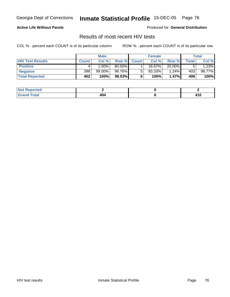### **Active Life Without Parole**

Produced for **General Distribution**

### Results of most recent HIV tests

|                         |              | <b>Male</b> |        |              | <b>Female</b> |          |       | Total       |
|-------------------------|--------------|-------------|--------|--------------|---------------|----------|-------|-------------|
| <b>HIV Test Results</b> | <b>Count</b> | Col %       | Row %  | <b>Count</b> | Col %         | Row %    | Total | Col %       |
| <b>Positive</b>         |              | $.00\%$     | 80.00% |              | 16.67%        | 20.00%   |       | 1.23%       |
| <b>Negative</b>         | 398          | $99.00\%$   | 98.76% |              | $83.33\%$     | 1.24%    | 403   | 98.77%      |
| <b>Total Reported</b>   | 402          | 100%        | 98.53% |              | 100%          | $1.47\%$ | 408   | <b>100%</b> |

| <b>Not Reported</b> |           |                      |
|---------------------|-----------|----------------------|
| <b>Fotal</b>        | 104<br>__ | - -<br>i I U<br>$ -$ |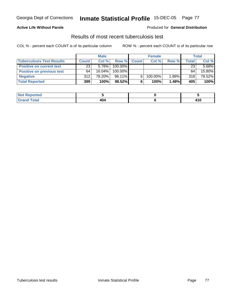### **Active Life Without Parole**

#### Produced for **General Distribution**

## Results of most recent tuberculosis test

|                                  |              | <b>Male</b> |         |              | <b>Female</b> |       |       | Total    |
|----------------------------------|--------------|-------------|---------|--------------|---------------|-------|-------|----------|
| <b>Tuberculosis Test Results</b> | <b>Count</b> | Col%        | Row %   | <b>Count</b> | Col%          | Row % | Total | Col %    |
| <b>Positive on current test</b>  | 23           | $5.76\%$    | 100.00% |              |               |       | 23    | $5.68\%$ |
| <b>Positive on previous test</b> | 64           | 16.04%      | 100.00% |              |               |       | 64    | 15.80%   |
| <b>Negative</b>                  | 312          | 78.20%      | 98.11%  | 6.           | 100.00%       | 1.89% | 318   | 78.52%   |
| <b>Total Reported</b>            | 399          | 100%        | 98.52%  |              | 100%          | 1.48% | 405   | $100\%$  |

| <b>Not Reported</b> |     |       |
|---------------------|-----|-------|
| <b>Total</b>        | 404 | 84 C  |
| _____               | ___ | 4 I V |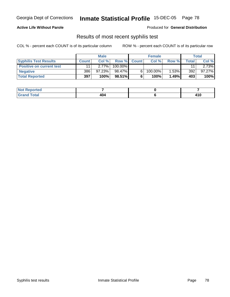#### **Active Life Without Parole**

#### Produced for **General Distribution**

## Results of most recent syphilis test

|                                 |              | <b>Male</b> |           |             | <b>Female</b> |          |       | Total     |
|---------------------------------|--------------|-------------|-----------|-------------|---------------|----------|-------|-----------|
| <b>Syphilis Test Results</b>    | <b>Count</b> | Col%        |           | Row % Count | Col%          | Row %    | Total | Col %     |
| <b>Positive on current test</b> |              | $2.77\%$    | 100.00%   |             |               |          | 11    | $2.73\%$  |
| <b>Negative</b>                 | 386          | $97.23\%$   | 98.47%    |             | 100.00%       | $1.53\%$ | 392   | $97.27\%$ |
| <b>Total Reported</b>           | 397          | 100%        | $98.51\%$ |             | 100%          | 1.49%    | 403   | 100%      |

| <b>Not Reported</b> |           |           |
|---------------------|-----------|-----------|
| <b>Fotal</b>        | 404<br>__ | <br>4 I V |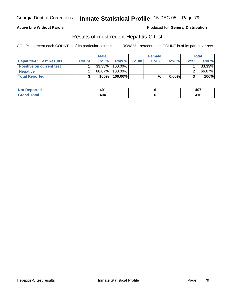### **Active Life Without Parole**

Produced for **General Distribution**

## Results of most recent Hepatitis-C test

|                                 | <b>Male</b> |           | <b>Female</b> |             |       | Total    |              |        |
|---------------------------------|-------------|-----------|---------------|-------------|-------|----------|--------------|--------|
| <b>Hepatitis-C Test Results</b> | Count       | Col%      |               | Row % Count | Col % | Row %    | <b>Total</b> | Col %  |
| <b>Positive on current test</b> |             | $33.33\%$ | 100.00%       |             |       |          |              | 33.33% |
| <b>Negative</b>                 |             | 66.67%    | 100.00%       |             |       |          |              | 66.67% |
| <b>Total Reported</b>           |             | 100%      | 100.00%l      |             | %     | $0.00\%$ |              | 100%   |

| Not R<br>Reported        | 401          | 407 |
|--------------------------|--------------|-----|
| Total<br>. Gr $\epsilon$ | 404<br>$  -$ | 410 |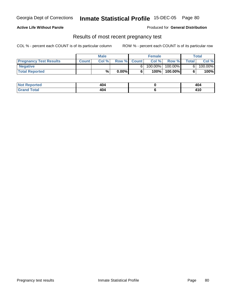### **Active Life Without Parole**

Produced for **General Distribution**

### Results of most recent pregnancy test

|                               | <b>Male</b>  |       |          | <b>Female</b> |            |            | Total        |         |
|-------------------------------|--------------|-------|----------|---------------|------------|------------|--------------|---------|
| <b>Pregnancy Test Results</b> | <b>Count</b> | Col % |          | Row % Count   | Col %      | Row %      | <b>Total</b> | Col %   |
| <b>Negative</b>               |              |       |          |               | $100.00\%$ | $100.00\%$ |              | 100.00% |
| <b>Total Reported</b>         |              | %     | $0.00\%$ |               | 100%       | 100.00%    |              | 100%    |

| :ported<br>NOT | 10<br>707                              | 404                     |
|----------------|----------------------------------------|-------------------------|
| íota!<br>_____ | $\overline{\phantom{a}}$<br>705<br>___ | $\overline{A}$<br>4 I V |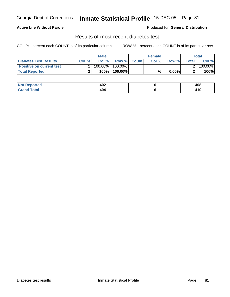### **Active Life Without Parole**

#### Produced for **General Distribution**

## Results of most recent diabetes test

|                                 |       | <b>Male</b> |                    | <b>Female</b> |          |         | Total   |
|---------------------------------|-------|-------------|--------------------|---------------|----------|---------|---------|
| Diabetes Test Results           | Count | Col %       | <b>Row % Count</b> | Col %         | Row %    | Total l | Col %   |
| <b>Positive on current test</b> |       | $100.00\%$  | 100.00% I          |               |          |         | 100.00% |
| <b>Total Reported</b>           |       | 100%        | 100.00%            | %             | $0.00\%$ |         | 100%    |

| eported<br><b>NOT</b> | 402              | 408                     |
|-----------------------|------------------|-------------------------|
| <i>i</i> otal<br>____ | лr<br>404<br>___ | $\overline{A}$<br>4 I V |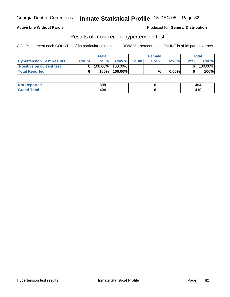### **Active Life Without Parole**

#### Produced for **General Distribution**

### Results of most recent hypertension test

|                                  |              | <b>Male</b> |           |             | <b>Female</b> |          |       | Total   |
|----------------------------------|--------------|-------------|-----------|-------------|---------------|----------|-------|---------|
| <b>Hypertension Test Results</b> | <b>Count</b> | Col %       |           | Row % Count | Col%          | Row %    | Total | Col %   |
| <b>Positive on current test</b>  |              | 100.00%     | 100.00% I |             |               |          |       | 100.00% |
| <b>Total Reported</b>            |              | 100%        | 100.00%   |             | %             | $0.00\%$ |       | 100%    |

| eported<br>NOT        | 398              | 404                     |
|-----------------------|------------------|-------------------------|
| <i>i</i> otal<br>____ | 1C<br>404<br>___ | $\overline{A}$<br>4 I V |